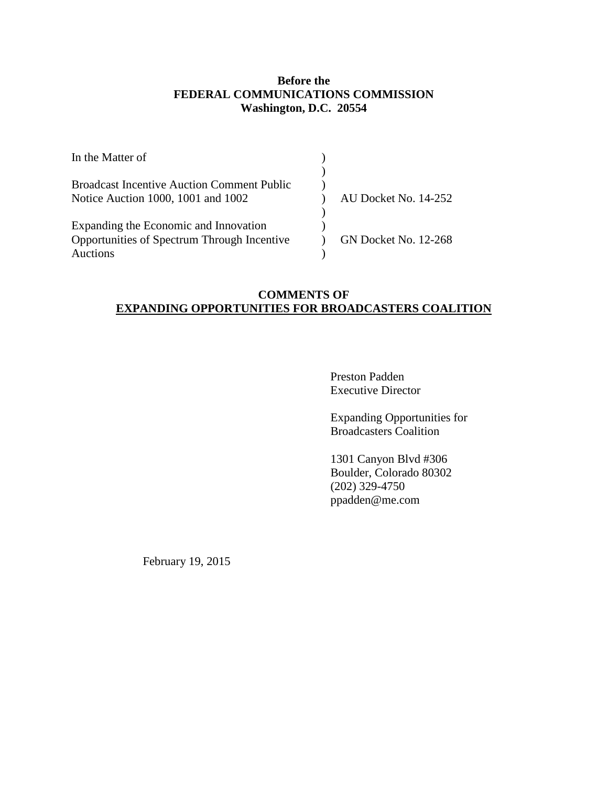## **Before the FEDERAL COMMUNICATIONS COMMISSION Washington, D.C. 20554**

| In the Matter of                                  |                      |
|---------------------------------------------------|----------------------|
|                                                   |                      |
| <b>Broadcast Incentive Auction Comment Public</b> |                      |
| Notice Auction 1000, 1001 and 1002                | AU Docket No. 14-252 |
|                                                   |                      |
| Expanding the Economic and Innovation             |                      |
| Opportunities of Spectrum Through Incentive       | GN Docket No. 12-268 |
| Auctions                                          |                      |

## **COMMENTS OF EXPANDING OPPORTUNITIES FOR BROADCASTERS COALITION**

Preston Padden Executive Director

Expanding Opportunities for Broadcasters Coalition

1301 Canyon Blvd #306 Boulder, Colorado 80302 (202) 329-4750 ppadden@me.com

February 19, 2015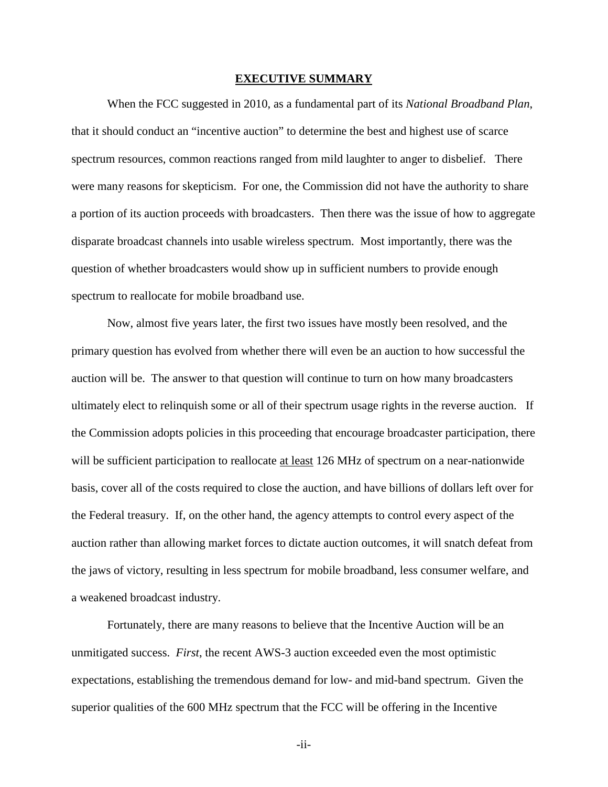#### **EXECUTIVE SUMMARY**

<span id="page-1-0"></span>When the FCC suggested in 2010, as a fundamental part of its *National Broadband Plan*, that it should conduct an "incentive auction" to determine the best and highest use of scarce spectrum resources, common reactions ranged from mild laughter to anger to disbelief. There were many reasons for skepticism. For one, the Commission did not have the authority to share a portion of its auction proceeds with broadcasters. Then there was the issue of how to aggregate disparate broadcast channels into usable wireless spectrum. Most importantly, there was the question of whether broadcasters would show up in sufficient numbers to provide enough spectrum to reallocate for mobile broadband use.

Now, almost five years later, the first two issues have mostly been resolved, and the primary question has evolved from whether there will even be an auction to how successful the auction will be. The answer to that question will continue to turn on how many broadcasters ultimately elect to relinquish some or all of their spectrum usage rights in the reverse auction. If the Commission adopts policies in this proceeding that encourage broadcaster participation, there will be sufficient participation to reallocate at least 126 MHz of spectrum on a near-nationwide basis, cover all of the costs required to close the auction, and have billions of dollars left over for the Federal treasury. If, on the other hand, the agency attempts to control every aspect of the auction rather than allowing market forces to dictate auction outcomes, it will snatch defeat from the jaws of victory, resulting in less spectrum for mobile broadband, less consumer welfare, and a weakened broadcast industry.

Fortunately, there are many reasons to believe that the Incentive Auction will be an unmitigated success. *First*, the recent AWS-3 auction exceeded even the most optimistic expectations, establishing the tremendous demand for low- and mid-band spectrum. Given the superior qualities of the 600 MHz spectrum that the FCC will be offering in the Incentive

-ii-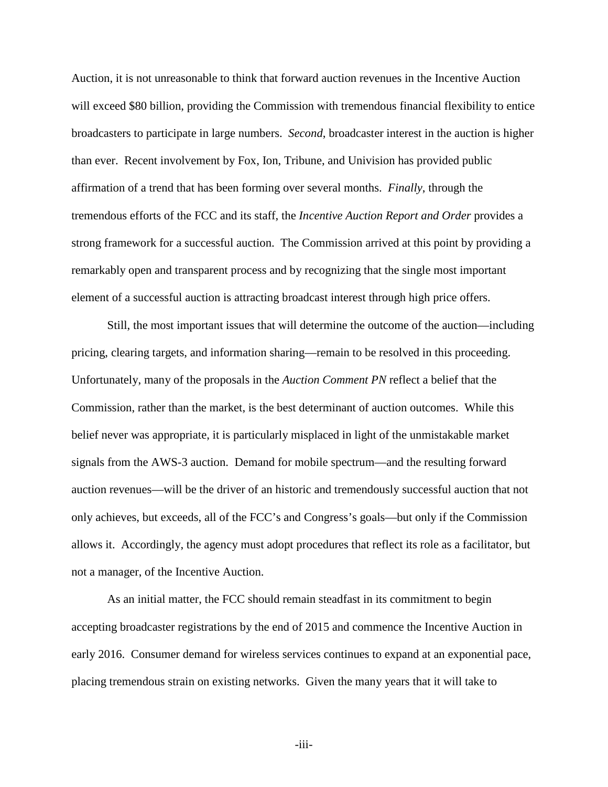Auction, it is not unreasonable to think that forward auction revenues in the Incentive Auction will exceed \$80 billion, providing the Commission with tremendous financial flexibility to entice broadcasters to participate in large numbers. *Second*, broadcaster interest in the auction is higher than ever. Recent involvement by Fox, Ion, Tribune, and Univision has provided public affirmation of a trend that has been forming over several months. *Finally*, through the tremendous efforts of the FCC and its staff, the *Incentive Auction Report and Order* provides a strong framework for a successful auction. The Commission arrived at this point by providing a remarkably open and transparent process and by recognizing that the single most important element of a successful auction is attracting broadcast interest through high price offers.

Still, the most important issues that will determine the outcome of the auction—including pricing, clearing targets, and information sharing—remain to be resolved in this proceeding. Unfortunately, many of the proposals in the *Auction Comment PN* reflect a belief that the Commission, rather than the market, is the best determinant of auction outcomes. While this belief never was appropriate, it is particularly misplaced in light of the unmistakable market signals from the AWS-3 auction. Demand for mobile spectrum—and the resulting forward auction revenues—will be the driver of an historic and tremendously successful auction that not only achieves, but exceeds, all of the FCC's and Congress's goals—but only if the Commission allows it. Accordingly, the agency must adopt procedures that reflect its role as a facilitator, but not a manager, of the Incentive Auction.

As an initial matter, the FCC should remain steadfast in its commitment to begin accepting broadcaster registrations by the end of 2015 and commence the Incentive Auction in early 2016. Consumer demand for wireless services continues to expand at an exponential pace, placing tremendous strain on existing networks. Given the many years that it will take to

-iii-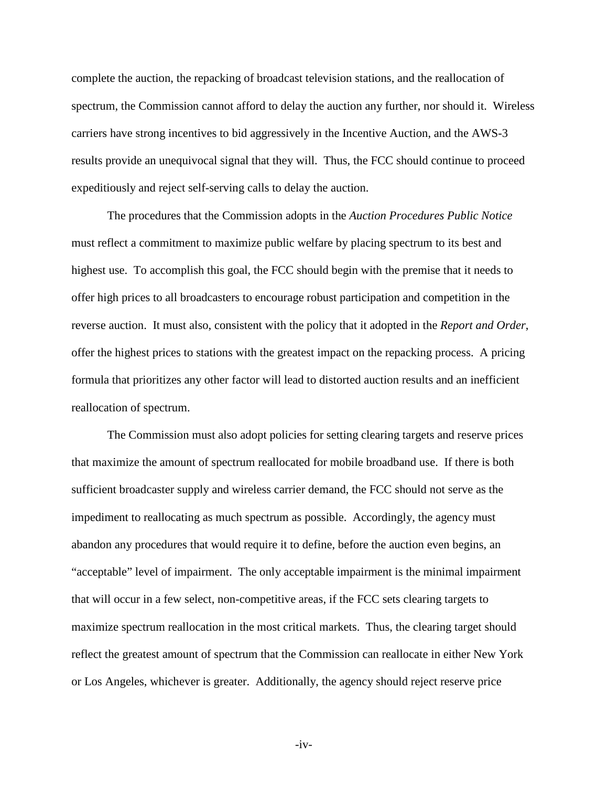complete the auction, the repacking of broadcast television stations, and the reallocation of spectrum, the Commission cannot afford to delay the auction any further, nor should it. Wireless carriers have strong incentives to bid aggressively in the Incentive Auction, and the AWS-3 results provide an unequivocal signal that they will. Thus, the FCC should continue to proceed expeditiously and reject self-serving calls to delay the auction.

The procedures that the Commission adopts in the *Auction Procedures Public Notice*  must reflect a commitment to maximize public welfare by placing spectrum to its best and highest use. To accomplish this goal, the FCC should begin with the premise that it needs to offer high prices to all broadcasters to encourage robust participation and competition in the reverse auction. It must also, consistent with the policy that it adopted in the *Report and Order*, offer the highest prices to stations with the greatest impact on the repacking process. A pricing formula that prioritizes any other factor will lead to distorted auction results and an inefficient reallocation of spectrum.

The Commission must also adopt policies for setting clearing targets and reserve prices that maximize the amount of spectrum reallocated for mobile broadband use. If there is both sufficient broadcaster supply and wireless carrier demand, the FCC should not serve as the impediment to reallocating as much spectrum as possible. Accordingly, the agency must abandon any procedures that would require it to define, before the auction even begins, an "acceptable" level of impairment. The only acceptable impairment is the minimal impairment that will occur in a few select, non-competitive areas, if the FCC sets clearing targets to maximize spectrum reallocation in the most critical markets. Thus, the clearing target should reflect the greatest amount of spectrum that the Commission can reallocate in either New York or Los Angeles, whichever is greater. Additionally, the agency should reject reserve price

 $-iv-$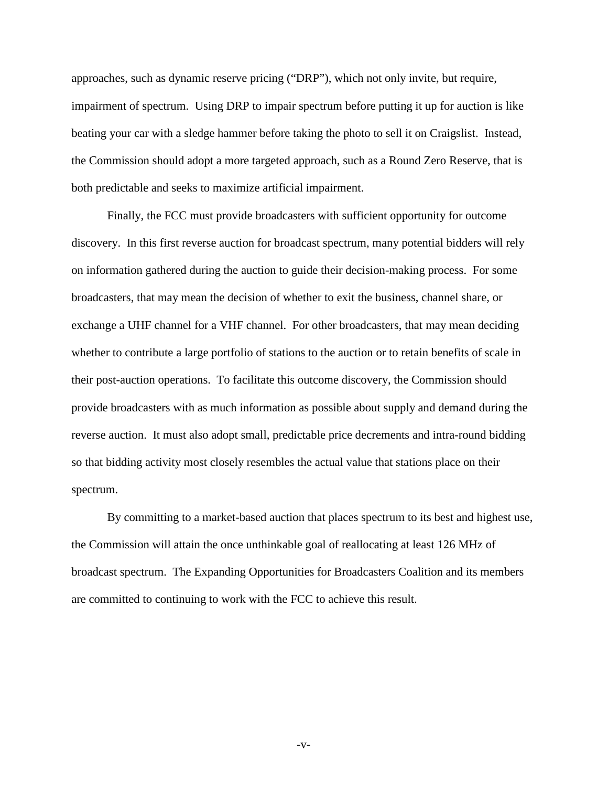approaches, such as dynamic reserve pricing ("DRP"), which not only invite, but require, impairment of spectrum. Using DRP to impair spectrum before putting it up for auction is like beating your car with a sledge hammer before taking the photo to sell it on Craigslist. Instead, the Commission should adopt a more targeted approach, such as a Round Zero Reserve, that is both predictable and seeks to maximize artificial impairment.

Finally, the FCC must provide broadcasters with sufficient opportunity for outcome discovery. In this first reverse auction for broadcast spectrum, many potential bidders will rely on information gathered during the auction to guide their decision-making process. For some broadcasters, that may mean the decision of whether to exit the business, channel share, or exchange a UHF channel for a VHF channel. For other broadcasters, that may mean deciding whether to contribute a large portfolio of stations to the auction or to retain benefits of scale in their post-auction operations. To facilitate this outcome discovery, the Commission should provide broadcasters with as much information as possible about supply and demand during the reverse auction. It must also adopt small, predictable price decrements and intra-round bidding so that bidding activity most closely resembles the actual value that stations place on their spectrum.

By committing to a market-based auction that places spectrum to its best and highest use, the Commission will attain the once unthinkable goal of reallocating at least 126 MHz of broadcast spectrum. The Expanding Opportunities for Broadcasters Coalition and its members are committed to continuing to work with the FCC to achieve this result.

-v-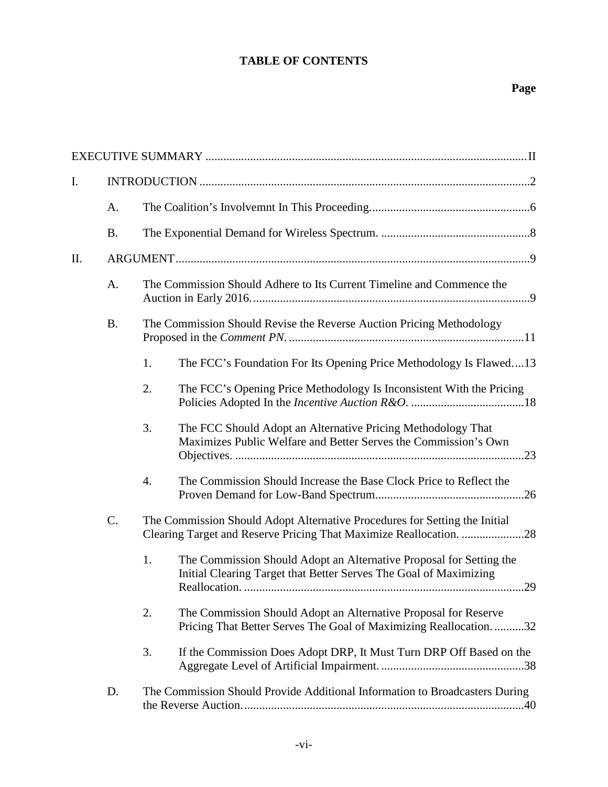# **TABLE OF CONTENTS**

# **Page**

| I.  |           |                                                                                                                                                  |                                                                                                                                          |  |
|-----|-----------|--------------------------------------------------------------------------------------------------------------------------------------------------|------------------------------------------------------------------------------------------------------------------------------------------|--|
|     | A.        |                                                                                                                                                  |                                                                                                                                          |  |
|     | <b>B.</b> |                                                                                                                                                  |                                                                                                                                          |  |
| II. |           |                                                                                                                                                  |                                                                                                                                          |  |
|     | A.        |                                                                                                                                                  | The Commission Should Adhere to Its Current Timeline and Commence the                                                                    |  |
|     | <b>B.</b> |                                                                                                                                                  | The Commission Should Revise the Reverse Auction Pricing Methodology                                                                     |  |
|     |           | 1.                                                                                                                                               | The FCC's Foundation For Its Opening Price Methodology Is Flawed13                                                                       |  |
|     |           | 2.                                                                                                                                               | The FCC's Opening Price Methodology Is Inconsistent With the Pricing                                                                     |  |
|     |           | 3.                                                                                                                                               | The FCC Should Adopt an Alternative Pricing Methodology That<br>Maximizes Public Welfare and Better Serves the Commission's Own          |  |
|     |           | $\boldsymbol{4}$ .                                                                                                                               | The Commission Should Increase the Base Clock Price to Reflect the                                                                       |  |
|     | C.        | The Commission Should Adopt Alternative Procedures for Setting the Initial<br>Clearing Target and Reserve Pricing That Maximize Reallocation. 28 |                                                                                                                                          |  |
|     |           | 1.                                                                                                                                               | The Commission Should Adopt an Alternative Proposal for Setting the<br>Initial Clearing Target that Better Serves The Goal of Maximizing |  |
|     |           | 2.                                                                                                                                               | The Commission Should Adopt an Alternative Proposal for Reserve<br>Pricing That Better Serves The Goal of Maximizing Reallocation. 32    |  |
|     |           | 3.                                                                                                                                               | If the Commission Does Adopt DRP, It Must Turn DRP Off Based on the                                                                      |  |
|     | D.        |                                                                                                                                                  | The Commission Should Provide Additional Information to Broadcasters During                                                              |  |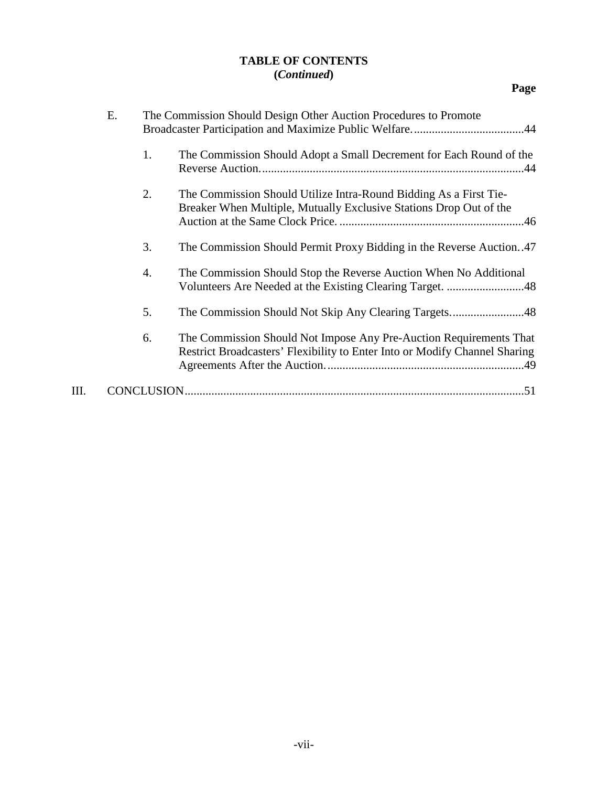## **TABLE OF CONTENTS (***Continued***)**

**Page**

|      | Е. |    | The Commission Should Design Other Auction Procedures to Promote                                                                                 |
|------|----|----|--------------------------------------------------------------------------------------------------------------------------------------------------|
|      |    | 1. | The Commission Should Adopt a Small Decrement for Each Round of the                                                                              |
|      |    | 2. | The Commission Should Utilize Intra-Round Bidding As a First Tie-<br>Breaker When Multiple, Mutually Exclusive Stations Drop Out of the          |
|      |    | 3. | The Commission Should Permit Proxy Bidding in the Reverse Auction47                                                                              |
|      |    | 4. | The Commission Should Stop the Reverse Auction When No Additional                                                                                |
|      |    | 5. |                                                                                                                                                  |
|      |    | 6. | The Commission Should Not Impose Any Pre-Auction Requirements That<br>Restrict Broadcasters' Flexibility to Enter Into or Modify Channel Sharing |
| III. |    |    |                                                                                                                                                  |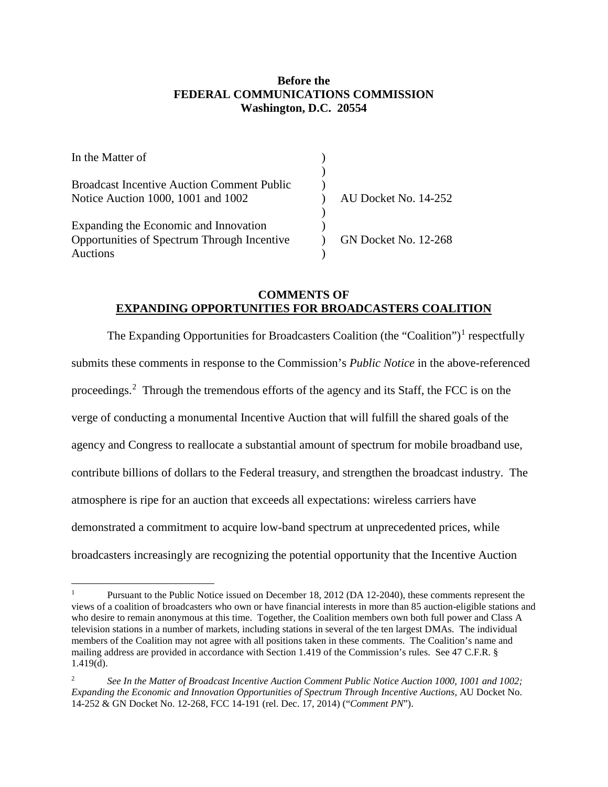## **Before the FEDERAL COMMUNICATIONS COMMISSION Washington, D.C. 20554**

| In the Matter of                                  |                             |
|---------------------------------------------------|-----------------------------|
|                                                   |                             |
| <b>Broadcast Incentive Auction Comment Public</b> |                             |
| Notice Auction 1000, 1001 and 1002                | AU Docket No. 14-252        |
|                                                   |                             |
| Expanding the Economic and Innovation             |                             |
| Opportunities of Spectrum Through Incentive       | <b>GN Docket No. 12-268</b> |
| Auctions                                          |                             |

## **COMMENTS OF EXPANDING OPPORTUNITIES FOR BROADCASTERS COALITION**

The Expanding Opportunities for Broadcasters Coalition (the "Coalition")<sup>[1](#page-7-0)</sup> respectfully submits these comments in response to the Commission's *Public Notice* in the above-referenced proceedings.<sup>[2](#page-7-1)</sup> Through the tremendous efforts of the agency and its Staff, the FCC is on the verge of conducting a monumental Incentive Auction that will fulfill the shared goals of the agency and Congress to reallocate a substantial amount of spectrum for mobile broadband use, contribute billions of dollars to the Federal treasury, and strengthen the broadcast industry. The atmosphere is ripe for an auction that exceeds all expectations: wireless carriers have demonstrated a commitment to acquire low-band spectrum at unprecedented prices, while broadcasters increasingly are recognizing the potential opportunity that the Incentive Auction

 $\overline{a}$ 

<span id="page-7-0"></span>Pursuant to the Public Notice issued on December 18, 2012 (DA 12-2040), these comments represent the views of a coalition of broadcasters who own or have financial interests in more than 85 auction-eligible stations and who desire to remain anonymous at this time. Together, the Coalition members own both full power and Class A television stations in a number of markets, including stations in several of the ten largest DMAs. The individual members of the Coalition may not agree with all positions taken in these comments. The Coalition's name and mailing address are provided in accordance with Section 1.419 of the Commission's rules. See 47 C.F.R. § 1.419(d).

<span id="page-7-1"></span><sup>2</sup> *See In the Matter of Broadcast Incentive Auction Comment Public Notice Auction 1000, 1001 and 1002; Expanding the Economic and Innovation Opportunities of Spectrum Through Incentive Auctions*, AU Docket No. 14-252 & GN Docket No. 12-268, FCC 14-191 (rel. Dec. 17, 2014) ("*Comment PN*").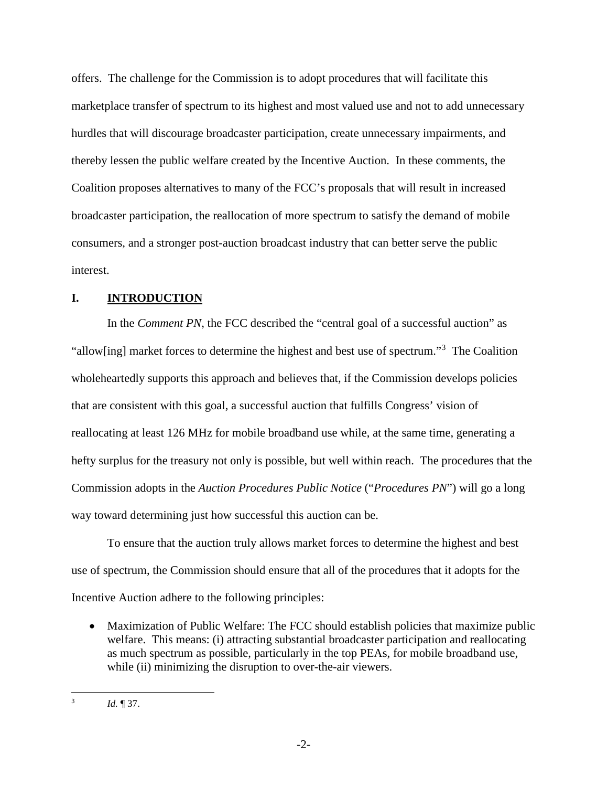offers. The challenge for the Commission is to adopt procedures that will facilitate this marketplace transfer of spectrum to its highest and most valued use and not to add unnecessary hurdles that will discourage broadcaster participation, create unnecessary impairments, and thereby lessen the public welfare created by the Incentive Auction. In these comments, the Coalition proposes alternatives to many of the FCC's proposals that will result in increased broadcaster participation, the reallocation of more spectrum to satisfy the demand of mobile consumers, and a stronger post-auction broadcast industry that can better serve the public interest.

## <span id="page-8-0"></span>**I. INTRODUCTION**

In the *Comment PN*, the FCC described the "central goal of a successful auction" as "allow[ing] market forces to determine the highest and best use of spectrum."<sup>[3](#page-8-1)</sup> The Coalition wholeheartedly supports this approach and believes that, if the Commission develops policies that are consistent with this goal, a successful auction that fulfills Congress' vision of reallocating at least 126 MHz for mobile broadband use while, at the same time, generating a hefty surplus for the treasury not only is possible, but well within reach. The procedures that the Commission adopts in the *Auction Procedures Public Notice* ("*Procedures PN*") will go a long way toward determining just how successful this auction can be.

To ensure that the auction truly allows market forces to determine the highest and best use of spectrum, the Commission should ensure that all of the procedures that it adopts for the Incentive Auction adhere to the following principles:

• Maximization of Public Welfare: The FCC should establish policies that maximize public welfare. This means: (i) attracting substantial broadcaster participation and reallocating as much spectrum as possible, particularly in the top PEAs, for mobile broadband use, while (ii) minimizing the disruption to over-the-air viewers.

<span id="page-8-1"></span>*Id.* 137.  $\overline{3}$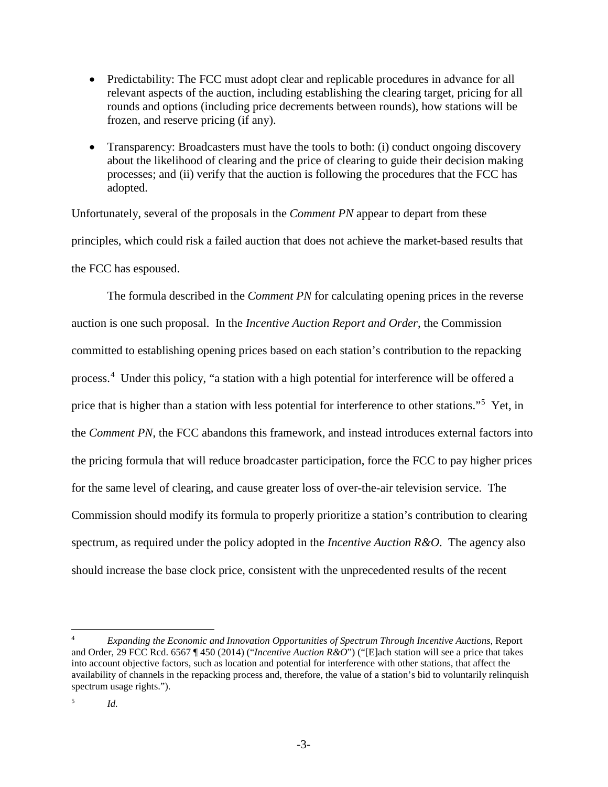- Predictability: The FCC must adopt clear and replicable procedures in advance for all relevant aspects of the auction, including establishing the clearing target, pricing for all rounds and options (including price decrements between rounds), how stations will be frozen, and reserve pricing (if any).
- Transparency: Broadcasters must have the tools to both: (i) conduct ongoing discovery about the likelihood of clearing and the price of clearing to guide their decision making processes; and (ii) verify that the auction is following the procedures that the FCC has adopted.

Unfortunately, several of the proposals in the *Comment PN* appear to depart from these principles, which could risk a failed auction that does not achieve the market-based results that the FCC has espoused.

The formula described in the *Comment PN* for calculating opening prices in the reverse auction is one such proposal. In the *Incentive Auction Report and Order*, the Commission committed to establishing opening prices based on each station's contribution to the repacking process.<sup>[4](#page-9-0)</sup> Under this policy, "a station with a high potential for interference will be offered a price that is higher than a station with less potential for interference to other stations."<sup>[5](#page-9-1)</sup> Yet, in the *Comment PN*, the FCC abandons this framework, and instead introduces external factors into the pricing formula that will reduce broadcaster participation, force the FCC to pay higher prices for the same level of clearing, and cause greater loss of over-the-air television service. The Commission should modify its formula to properly prioritize a station's contribution to clearing spectrum, as required under the policy adopted in the *Incentive Auction R&O*. The agency also should increase the base clock price, consistent with the unprecedented results of the recent

 $\overline{a}$ 

<span id="page-9-0"></span><sup>4</sup> *Expanding the Economic and Innovation Opportunities of Spectrum Through Incentive Auctions*, Report and Order, 29 FCC Rcd. 6567 ¶ 450 (2014) ("*Incentive Auction R&O*") ("[E]ach station will see a price that takes into account objective factors, such as location and potential for interference with other stations, that affect the availability of channels in the repacking process and, therefore, the value of a station's bid to voluntarily relinquish spectrum usage rights.").

<span id="page-9-1"></span> $\frac{5}{10}$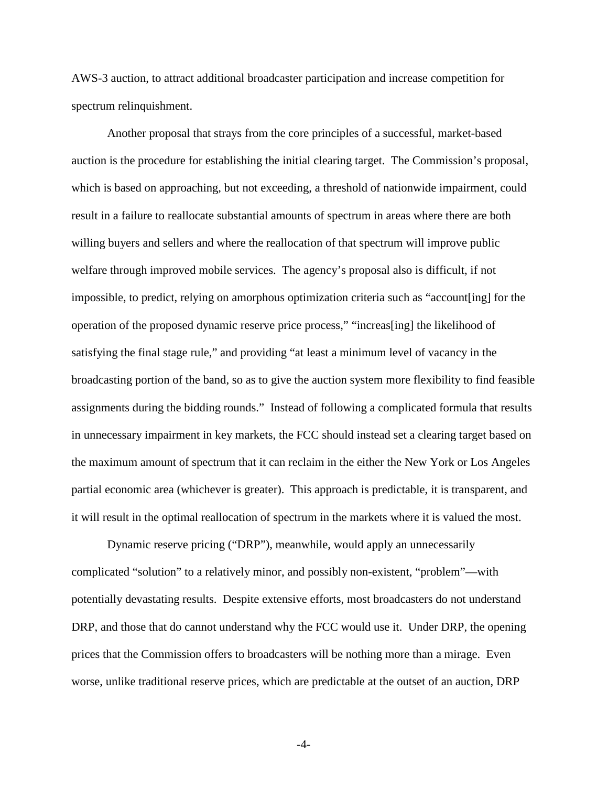AWS-3 auction, to attract additional broadcaster participation and increase competition for spectrum relinquishment.

Another proposal that strays from the core principles of a successful, market-based auction is the procedure for establishing the initial clearing target. The Commission's proposal, which is based on approaching, but not exceeding, a threshold of nationwide impairment, could result in a failure to reallocate substantial amounts of spectrum in areas where there are both willing buyers and sellers and where the reallocation of that spectrum will improve public welfare through improved mobile services. The agency's proposal also is difficult, if not impossible, to predict, relying on amorphous optimization criteria such as "account[ing] for the operation of the proposed dynamic reserve price process," "increas[ing] the likelihood of satisfying the final stage rule," and providing "at least a minimum level of vacancy in the broadcasting portion of the band, so as to give the auction system more flexibility to find feasible assignments during the bidding rounds." Instead of following a complicated formula that results in unnecessary impairment in key markets, the FCC should instead set a clearing target based on the maximum amount of spectrum that it can reclaim in the either the New York or Los Angeles partial economic area (whichever is greater). This approach is predictable, it is transparent, and it will result in the optimal reallocation of spectrum in the markets where it is valued the most.

Dynamic reserve pricing ("DRP"), meanwhile, would apply an unnecessarily complicated "solution" to a relatively minor, and possibly non-existent, "problem"—with potentially devastating results. Despite extensive efforts, most broadcasters do not understand DRP, and those that do cannot understand why the FCC would use it. Under DRP, the opening prices that the Commission offers to broadcasters will be nothing more than a mirage. Even worse, unlike traditional reserve prices, which are predictable at the outset of an auction, DRP

-4-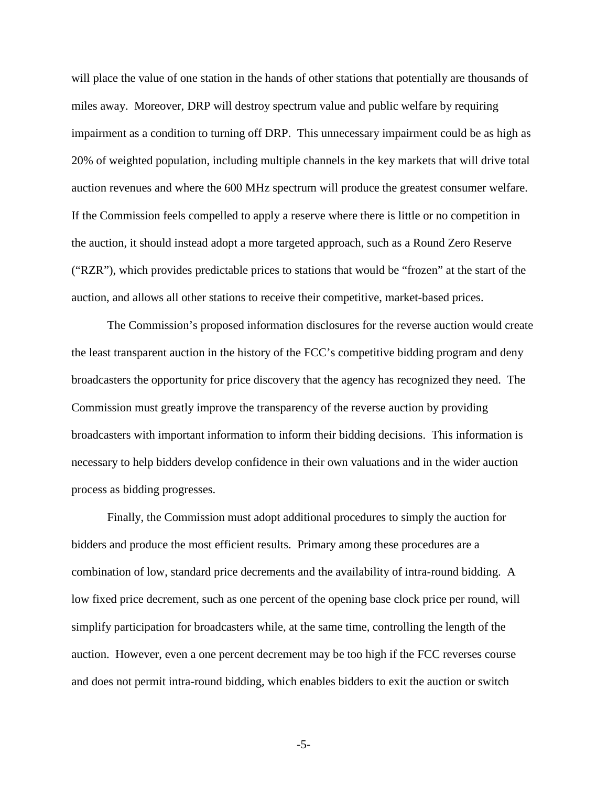will place the value of one station in the hands of other stations that potentially are thousands of miles away. Moreover, DRP will destroy spectrum value and public welfare by requiring impairment as a condition to turning off DRP. This unnecessary impairment could be as high as 20% of weighted population, including multiple channels in the key markets that will drive total auction revenues and where the 600 MHz spectrum will produce the greatest consumer welfare. If the Commission feels compelled to apply a reserve where there is little or no competition in the auction, it should instead adopt a more targeted approach, such as a Round Zero Reserve ("RZR"), which provides predictable prices to stations that would be "frozen" at the start of the auction, and allows all other stations to receive their competitive, market-based prices.

The Commission's proposed information disclosures for the reverse auction would create the least transparent auction in the history of the FCC's competitive bidding program and deny broadcasters the opportunity for price discovery that the agency has recognized they need. The Commission must greatly improve the transparency of the reverse auction by providing broadcasters with important information to inform their bidding decisions. This information is necessary to help bidders develop confidence in their own valuations and in the wider auction process as bidding progresses.

Finally, the Commission must adopt additional procedures to simply the auction for bidders and produce the most efficient results. Primary among these procedures are a combination of low, standard price decrements and the availability of intra-round bidding. A low fixed price decrement, such as one percent of the opening base clock price per round, will simplify participation for broadcasters while, at the same time, controlling the length of the auction. However, even a one percent decrement may be too high if the FCC reverses course and does not permit intra-round bidding, which enables bidders to exit the auction or switch

-5-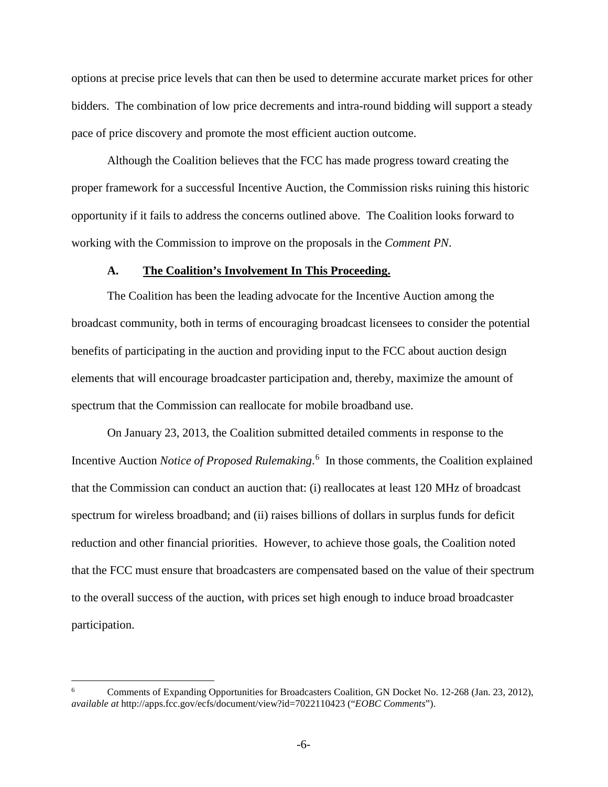options at precise price levels that can then be used to determine accurate market prices for other bidders. The combination of low price decrements and intra-round bidding will support a steady pace of price discovery and promote the most efficient auction outcome.

Although the Coalition believes that the FCC has made progress toward creating the proper framework for a successful Incentive Auction, the Commission risks ruining this historic opportunity if it fails to address the concerns outlined above. The Coalition looks forward to working with the Commission to improve on the proposals in the *Comment PN*.

#### **A. The Coalition's Involvement In This Proceeding.**

<span id="page-12-0"></span>The Coalition has been the leading advocate for the Incentive Auction among the broadcast community, both in terms of encouraging broadcast licensees to consider the potential benefits of participating in the auction and providing input to the FCC about auction design elements that will encourage broadcaster participation and, thereby, maximize the amount of spectrum that the Commission can reallocate for mobile broadband use.

On January 23, 2013, the Coalition submitted detailed comments in response to the Incentive Auction *Notice of Proposed Rulemaking*. [6](#page-12-1) In those comments, the Coalition explained that the Commission can conduct an auction that: (i) reallocates at least 120 MHz of broadcast spectrum for wireless broadband; and (ii) raises billions of dollars in surplus funds for deficit reduction and other financial priorities. However, to achieve those goals, the Coalition noted that the FCC must ensure that broadcasters are compensated based on the value of their spectrum to the overall success of the auction, with prices set high enough to induce broad broadcaster participation.

 $\overline{a}$ 

<span id="page-12-1"></span><sup>6</sup> Comments of Expanding Opportunities for Broadcasters Coalition, GN Docket No. 12-268 (Jan. 23, 2012), *available at* http://apps.fcc.gov/ecfs/document/view?id=7022110423 ("*EOBC Comments*").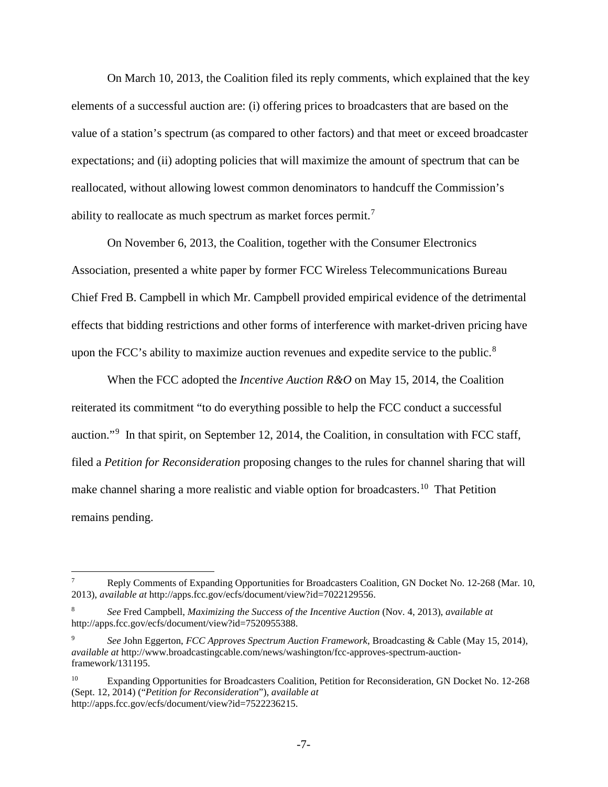On March 10, 2013, the Coalition filed its reply comments, which explained that the key elements of a successful auction are: (i) offering prices to broadcasters that are based on the value of a station's spectrum (as compared to other factors) and that meet or exceed broadcaster expectations; and (ii) adopting policies that will maximize the amount of spectrum that can be reallocated, without allowing lowest common denominators to handcuff the Commission's ability to reallocate as much spectrum as market forces permit.<sup>[7](#page-13-0)</sup>

On November 6, 2013, the Coalition, together with the Consumer Electronics Association, presented a white paper by former FCC Wireless Telecommunications Bureau Chief Fred B. Campbell in which Mr. Campbell provided empirical evidence of the detrimental effects that bidding restrictions and other forms of interference with market-driven pricing have upon the FCC's ability to maximize auction revenues and expedite service to the public.<sup>[8](#page-13-1)</sup>

When the FCC adopted the *Incentive Auction R&O* on May 15, 2014, the Coalition reiterated its commitment "to do everything possible to help the FCC conduct a successful auction."<sup>[9](#page-13-2)</sup> In that spirit, on September 12, 2014, the Coalition, in consultation with FCC staff, filed a *Petition for Reconsideration* proposing changes to the rules for channel sharing that will make channel sharing a more realistic and viable option for broadcasters.<sup>10</sup> That Petition remains pending.

 $\overline{a}$ 

<span id="page-13-0"></span><sup>7</sup> Reply Comments of Expanding Opportunities for Broadcasters Coalition, GN Docket No. 12-268 (Mar. 10, 2013), *available at* http://apps.fcc.gov/ecfs/document/view?id=7022129556.

<span id="page-13-1"></span><sup>8</sup> *See* Fred Campbell, *Maximizing the Success of the Incentive Auction* (Nov. 4, 2013), *available at* http://apps.fcc.gov/ecfs/document/view?id=7520955388.

<span id="page-13-2"></span><sup>9</sup> *See* John Eggerton, *FCC Approves Spectrum Auction Framework*, Broadcasting & Cable (May 15, 2014), *available at* http://www.broadcastingcable.com/news/washington/fcc-approves-spectrum-auctionframework/131195.

<span id="page-13-3"></span><sup>&</sup>lt;sup>10</sup> Expanding Opportunities for Broadcasters Coalition, Petition for Reconsideration, GN Docket No. 12-268 (Sept. 12, 2014) ("*Petition for Reconsideration*"), *available at* http://apps.fcc.gov/ecfs/document/view?id=7522236215.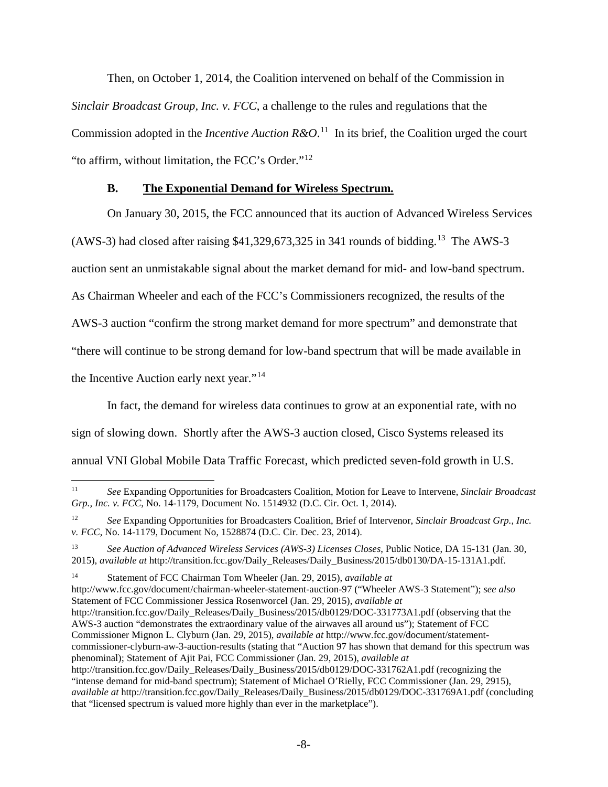Then, on October 1, 2014, the Coalition intervened on behalf of the Commission in *Sinclair Broadcast Group, Inc. v. FCC*, a challenge to the rules and regulations that the Commission adopted in the *Incentive Auction R&O*.<sup>11</sup> In its brief, the Coalition urged the court "to affirm, without limitation, the FCC's Order."<sup>[12](#page-14-2)</sup>

### <span id="page-14-0"></span>**B. The Exponential Demand for Wireless Spectrum.**

On January 30, 2015, the FCC announced that its auction of Advanced Wireless Services

(AWS-3) had closed after raising  $$41,329,673,325$  in 341 rounds of bidding.<sup>13</sup> The AWS-3

auction sent an unmistakable signal about the market demand for mid- and low-band spectrum.

As Chairman Wheeler and each of the FCC's Commissioners recognized, the results of the

AWS-3 auction "confirm the strong market demand for more spectrum" and demonstrate that

"there will continue to be strong demand for low-band spectrum that will be made available in

the Incentive Auction early next year."<sup>[14](#page-14-4)</sup>

In fact, the demand for wireless data continues to grow at an exponential rate, with no sign of slowing down. Shortly after the AWS-3 auction closed, Cisco Systems released its annual VNI Global Mobile Data Traffic Forecast, which predicted seven-fold growth in U.S.

<span id="page-14-4"></span><sup>14</sup> Statement of FCC Chairman Tom Wheeler (Jan. 29, 2015), *available at* http://www.fcc.gov/document/chairman-wheeler-statement-auction-97 ("Wheeler AWS-3 Statement"); *see also*  Statement of FCC Commissioner Jessica Rosenworcel (Jan. 29, 2015), *available at* http://transition.fcc.gov/Daily\_Releases/Daily\_Business/2015/db0129/DOC-331773A1.pdf (observing that the AWS-3 auction "demonstrates the extraordinary value of the airwaves all around us"); Statement of FCC Commissioner Mignon L. Clyburn (Jan. 29, 2015), *available at* http://www.fcc.gov/document/statementcommissioner-clyburn-aw-3-auction-results (stating that "Auction 97 has shown that demand for this spectrum was phenominal); Statement of Ajit Pai, FCC Commissioner (Jan. 29, 2015), *available at* http://transition.fcc.gov/Daily\_Releases/Daily\_Business/2015/db0129/DOC-331762A1.pdf (recognizing the "intense demand for mid-band spectrum); Statement of Michael O'Rielly, FCC Commissioner (Jan. 29, 2915), *available at* http://transition.fcc.gov/Daily\_Releases/Daily\_Business/2015/db0129/DOC-331769A1.pdf (concluding that "licensed spectrum is valued more highly than ever in the marketplace").

<span id="page-14-1"></span><sup>11</sup> *See* Expanding Opportunities for Broadcasters Coalition, Motion for Leave to Intervene, *Sinclair Broadcast Grp., Inc. v. FCC*, No. 14-1179, Document No. 1514932 (D.C. Cir. Oct. 1, 2014).  $11$ 

<span id="page-14-2"></span><sup>12</sup> *See* Expanding Opportunities for Broadcasters Coalition, Brief of Intervenor, *Sinclair Broadcast Grp., Inc. v. FCC*, No. 14-1179, Document No, 1528874 (D.C. Cir. Dec. 23, 2014).

<span id="page-14-3"></span><sup>13</sup> *See Auction of Advanced Wireless Services (AWS-3) Licenses Closes*, Public Notice, DA 15-131 (Jan. 30, 2015), *available at* http://transition.fcc.gov/Daily\_Releases/Daily\_Business/2015/db0130/DA-15-131A1.pdf.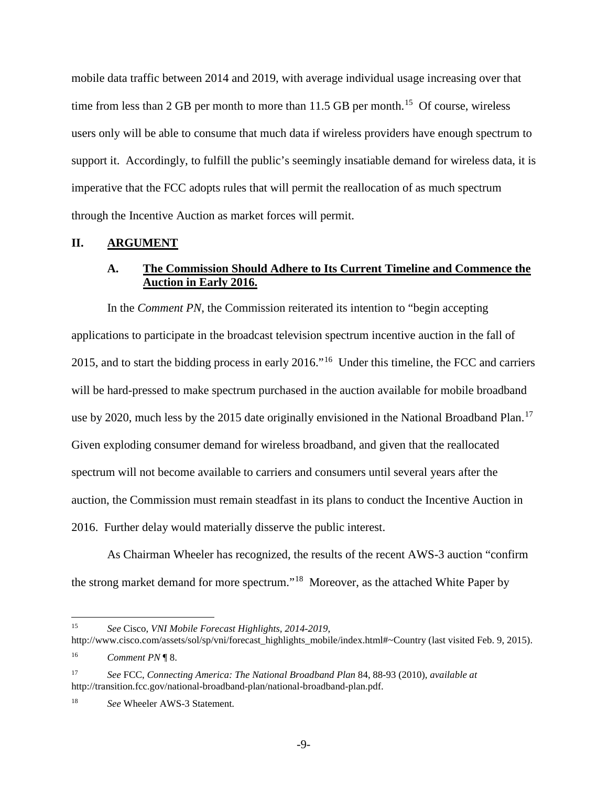mobile data traffic between 2014 and 2019, with average individual usage increasing over that time from less than 2 GB per month to more than  $11.5$  GB per month.<sup>15</sup> Of course, wireless users only will be able to consume that much data if wireless providers have enough spectrum to support it. Accordingly, to fulfill the public's seemingly insatiable demand for wireless data, it is imperative that the FCC adopts rules that will permit the reallocation of as much spectrum through the Incentive Auction as market forces will permit.

#### <span id="page-15-1"></span><span id="page-15-0"></span>**II. ARGUMENT**

## **A. The Commission Should Adhere to Its Current Timeline and Commence the Auction in Early 2016.**

In the *Comment PN*, the Commission reiterated its intention to "begin accepting applications to participate in the broadcast television spectrum incentive auction in the fall of 2015, and to start the bidding process in early 2016."[16](#page-15-3) Under this timeline, the FCC and carriers will be hard-pressed to make spectrum purchased in the auction available for mobile broadband use by 2020, much less by the 2015 date originally envisioned in the National Broadband Plan.<sup>[17](#page-15-4)</sup> Given exploding consumer demand for wireless broadband, and given that the reallocated spectrum will not become available to carriers and consumers until several years after the auction, the Commission must remain steadfast in its plans to conduct the Incentive Auction in 2016. Further delay would materially disserve the public interest.

As Chairman Wheeler has recognized, the results of the recent AWS-3 auction "confirm the strong market demand for more spectrum."[18](#page-15-5) Moreover, as the attached White Paper by

<span id="page-15-2"></span><sup>15</sup> *See* Cisco, *VNI Mobile Forecast Highlights, 2014-2019*, 15

http://www.cisco.com/assets/sol/sp/vni/forecast\_highlights\_mobile/index.html#~Country (last visited Feb. 9, 2015). <sup>16</sup> *Comment PN* ¶ 8.

<span id="page-15-3"></span>

<span id="page-15-4"></span><sup>17</sup> *See* FCC, *Connecting America: The National Broadband Plan* 84, 88-93 (2010), *available at* http://transition.fcc.gov/national-broadband-plan/national-broadband-plan.pdf.

<span id="page-15-5"></span><sup>18</sup> *See* Wheeler AWS-3 Statement.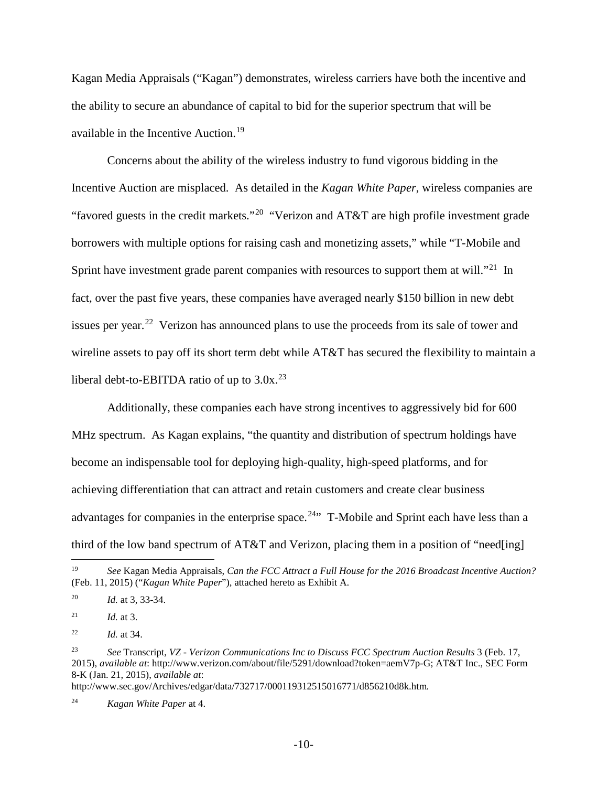Kagan Media Appraisals ("Kagan") demonstrates, wireless carriers have both the incentive and the ability to secure an abundance of capital to bid for the superior spectrum that will be available in the Incentive Auction.<sup>[19](#page-16-0)</sup>

Concerns about the ability of the wireless industry to fund vigorous bidding in the Incentive Auction are misplaced. As detailed in the *Kagan White Paper*, wireless companies are "favored guests in the credit markets."<sup>[20](#page-16-1)</sup> "Verizon and AT&T are high profile investment grade borrowers with multiple options for raising cash and monetizing assets," while "T-Mobile and Sprint have investment grade parent companies with resources to support them at will."<sup>[21](#page-16-2)</sup> In fact, over the past five years, these companies have averaged nearly \$150 billion in new debt issues per year.<sup>[22](#page-16-3)</sup> Verizon has announced plans to use the proceeds from its sale of tower and wireline assets to pay off its short term debt while AT&T has secured the flexibility to maintain a liberal debt-to-EBITDA ratio of up to  $3.0x^{23}$  $3.0x^{23}$  $3.0x^{23}$ 

Additionally, these companies each have strong incentives to aggressively bid for 600 MHz spectrum. As Kagan explains, "the quantity and distribution of spectrum holdings have become an indispensable tool for deploying high-quality, high-speed platforms, and for achieving differentiation that can attract and retain customers and create clear business advantages for companies in the enterprise space.<sup>[24](#page-16-5)</sup> $\cdot$  T-Mobile and Sprint each have less than a third of the low band spectrum of AT&T and Verizon, placing them in a position of "need[ing]

 $\overline{a}$ 

http://www.sec.gov/Archives/edgar/data/732717/000119312515016771/d856210d8k.htm*.*

<span id="page-16-5"></span><sup>24</sup> *Kagan White Paper* at 4.

<span id="page-16-0"></span><sup>19</sup> *See* Kagan Media Appraisals, *Can the FCC Attract a Full House for the 2016 Broadcast Incentive Auction?* (Feb. 11, 2015) ("*Kagan White Paper*"), attached hereto as Exhibit A.

<span id="page-16-1"></span><sup>20</sup> *Id.* at 3, 33-34.

<span id="page-16-2"></span><sup>21</sup> *Id.* at 3.

<span id="page-16-3"></span><sup>22</sup> *Id.* at 34.

<span id="page-16-4"></span><sup>23</sup> *See* Transcript, *VZ - Verizon Communications Inc to Discuss FCC Spectrum Auction Results* 3 (Feb. 17, 2015), *available at*: http://www.verizon.com/about/file/5291/download?token=aemV7p-G; AT&T Inc.*,* SEC Form 8-K (Jan. 21, 2015), *available at*: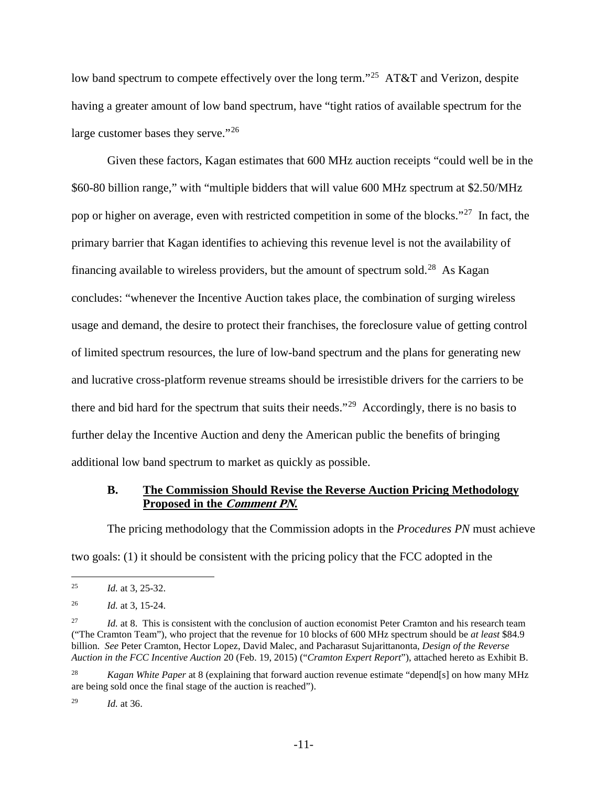low band spectrum to compete effectively over the long term."<sup>25</sup> AT&T and Verizon, despite having a greater amount of low band spectrum, have "tight ratios of available spectrum for the large customer bases they serve."<sup>[26](#page-17-2)</sup>

Given these factors, Kagan estimates that 600 MHz auction receipts "could well be in the \$60-80 billion range," with "multiple bidders that will value 600 MHz spectrum at \$2.50/MHz pop or higher on average, even with restricted competition in some of the blocks."<sup>27</sup> In fact, the primary barrier that Kagan identifies to achieving this revenue level is not the availability of financing available to wireless providers, but the amount of spectrum sold.<sup>[28](#page-17-4)</sup> As Kagan concludes: "whenever the Incentive Auction takes place, the combination of surging wireless usage and demand, the desire to protect their franchises, the foreclosure value of getting control of limited spectrum resources, the lure of low-band spectrum and the plans for generating new and lucrative cross-platform revenue streams should be irresistible drivers for the carriers to be there and bid hard for the spectrum that suits their needs."[29](#page-17-5) Accordingly, there is no basis to further delay the Incentive Auction and deny the American public the benefits of bringing additional low band spectrum to market as quickly as possible.

## <span id="page-17-0"></span>**B. The Commission Should Revise the Reverse Auction Pricing Methodology Proposed in the Comment PN.**

The pricing methodology that the Commission adopts in the *Procedures PN* must achieve two goals: (1) it should be consistent with the pricing policy that the FCC adopted in the

<span id="page-17-5"></span><sup>29</sup> *Id.* at 36.

<span id="page-17-1"></span><sup>25</sup> *Id.* at 3, 25-32. 25

<span id="page-17-2"></span><sup>26</sup> *Id.* at 3, 15-24.

<span id="page-17-3"></span><sup>&</sup>lt;sup>27</sup> *Id.* at 8. This is consistent with the conclusion of auction economist Peter Cramton and his research team ("The Cramton Team"), who project that the revenue for 10 blocks of 600 MHz spectrum should be *at least* \$84.9 billion. *See* Peter Cramton, Hector Lopez, David Malec, and Pacharasut Sujarittanonta, *Design of the Reverse Auction in the FCC Incentive Auction* 20 (Feb. 19, 2015) ("*Cramton Expert Report*"), attached hereto as Exhibit B.

<span id="page-17-4"></span><sup>28</sup> *Kagan White Paper* at 8 (explaining that forward auction revenue estimate "depend[s] on how many MHz are being sold once the final stage of the auction is reached").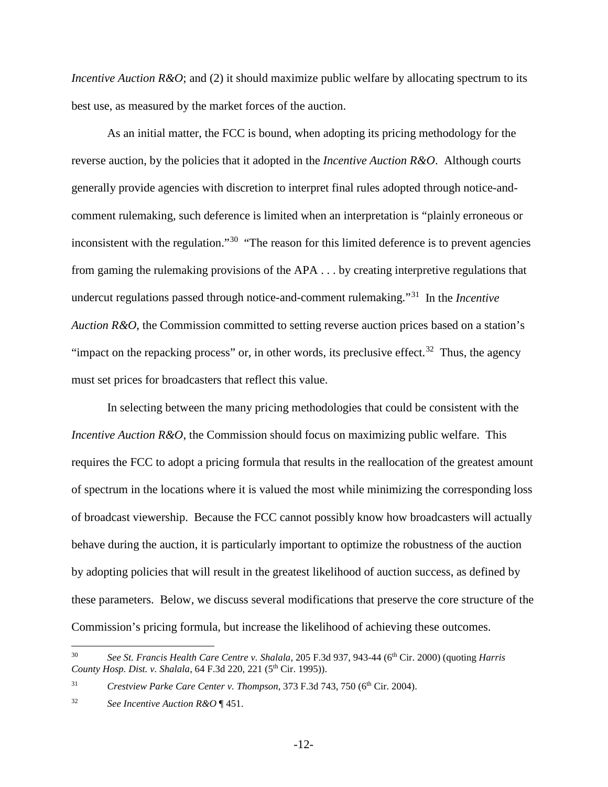*Incentive Auction R&O*; and (2) it should maximize public welfare by allocating spectrum to its best use, as measured by the market forces of the auction.

As an initial matter, the FCC is bound, when adopting its pricing methodology for the reverse auction, by the policies that it adopted in the *Incentive Auction R&O*. Although courts generally provide agencies with discretion to interpret final rules adopted through notice-andcomment rulemaking, such deference is limited when an interpretation is "plainly erroneous or inconsistent with the regulation."<sup>30</sup> "The reason for this limited deference is to prevent agencies from gaming the rulemaking provisions of the APA . . . by creating interpretive regulations that undercut regulations passed through notice-and-comment rulemaking."[31](#page-18-1) In the *Incentive Auction R&O*, the Commission committed to setting reverse auction prices based on a station's "impact on the repacking process" or, in other words, its preclusive effect.<sup>[32](#page-18-2)</sup> Thus, the agency must set prices for broadcasters that reflect this value.

In selecting between the many pricing methodologies that could be consistent with the *Incentive Auction R&O*, the Commission should focus on maximizing public welfare. This requires the FCC to adopt a pricing formula that results in the reallocation of the greatest amount of spectrum in the locations where it is valued the most while minimizing the corresponding loss of broadcast viewership. Because the FCC cannot possibly know how broadcasters will actually behave during the auction, it is particularly important to optimize the robustness of the auction by adopting policies that will result in the greatest likelihood of auction success, as defined by these parameters. Below, we discuss several modifications that preserve the core structure of the Commission's pricing formula, but increase the likelihood of achieving these outcomes.

<span id="page-18-0"></span><sup>30</sup> *See St. Francis Health Care Centre v. Shalala*, 205 F.3d 937, 943-44 (6th Cir. 2000) (quoting *Harris County Hosp. Dist. v. Shalala, 64 F.3d 220, 221 (5<sup>th</sup> Cir. 1995)).*  $30<sup>°</sup>$ 

<span id="page-18-1"></span><sup>&</sup>lt;sup>31</sup> *Crestview Parke Care Center v. Thompson*, 373 F.3d 743, 750 (6<sup>th</sup> Cir. 2004).

<span id="page-18-2"></span><sup>32</sup> *See Incentive Auction R&O* ¶ 451.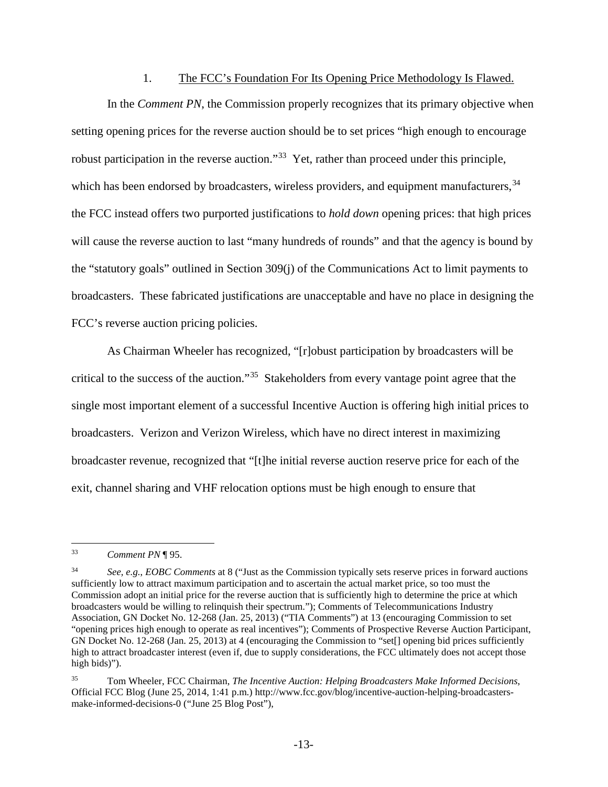#### 1. The FCC's Foundation For Its Opening Price Methodology Is Flawed.

<span id="page-19-0"></span>In the *Comment PN*, the Commission properly recognizes that its primary objective when setting opening prices for the reverse auction should be to set prices "high enough to encourage robust participation in the reverse auction."<sup>33</sup> Yet, rather than proceed under this principle, which has been endorsed by broadcasters, wireless providers, and equipment manufacturers,  $34$ the FCC instead offers two purported justifications to *hold down* opening prices: that high prices will cause the reverse auction to last "many hundreds of rounds" and that the agency is bound by the "statutory goals" outlined in Section 309(j) of the Communications Act to limit payments to broadcasters. These fabricated justifications are unacceptable and have no place in designing the FCC's reverse auction pricing policies.

As Chairman Wheeler has recognized, "[r]obust participation by broadcasters will be critical to the success of the auction."[35](#page-19-3) Stakeholders from every vantage point agree that the single most important element of a successful Incentive Auction is offering high initial prices to broadcasters. Verizon and Verizon Wireless, which have no direct interest in maximizing broadcaster revenue, recognized that "[t]he initial reverse auction reserve price for each of the exit, channel sharing and VHF relocation options must be high enough to ensure that

<span id="page-19-1"></span><sup>33</sup> *Comment PN* ¶ 95. 33

<span id="page-19-2"></span><sup>34</sup> *See, e.g.*, *EOBC Comments* at 8 ("Just as the Commission typically sets reserve prices in forward auctions sufficiently low to attract maximum participation and to ascertain the actual market price, so too must the Commission adopt an initial price for the reverse auction that is sufficiently high to determine the price at which broadcasters would be willing to relinquish their spectrum."); Comments of Telecommunications Industry Association, GN Docket No. 12-268 (Jan. 25, 2013) ("TIA Comments") at 13 (encouraging Commission to set "opening prices high enough to operate as real incentives"); Comments of Prospective Reverse Auction Participant, GN Docket No. 12-268 (Jan. 25, 2013) at 4 (encouraging the Commission to "set[] opening bid prices sufficiently high to attract broadcaster interest (even if, due to supply considerations, the FCC ultimately does not accept those high bids)").

<span id="page-19-3"></span><sup>35</sup> Tom Wheeler, FCC Chairman, *The Incentive Auction: Helping Broadcasters Make Informed Decisions*, Official FCC Blog (June 25, 2014, 1:41 p.m.) http://www.fcc.gov/blog/incentive-auction-helping-broadcastersmake-informed-decisions-0 ("June 25 Blog Post"),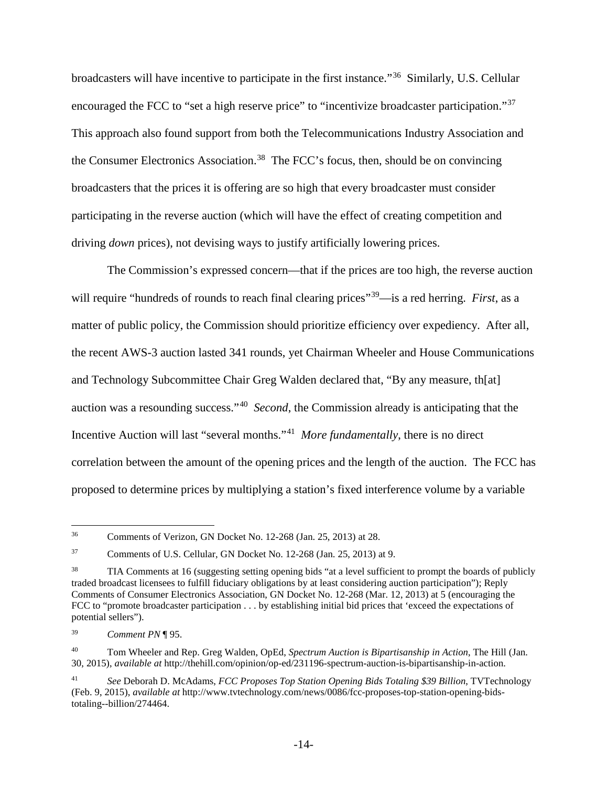broadcasters will have incentive to participate in the first instance."[36](#page-20-0) Similarly, U.S. Cellular encouraged the FCC to "set a high reserve price" to "incentivize broadcaster participation."<sup>[37](#page-20-1)</sup> This approach also found support from both the Telecommunications Industry Association and the Consumer Electronics Association.<sup>[38](#page-20-2)</sup> The FCC's focus, then, should be on convincing broadcasters that the prices it is offering are so high that every broadcaster must consider participating in the reverse auction (which will have the effect of creating competition and driving *down* prices), not devising ways to justify artificially lowering prices.

The Commission's expressed concern—that if the prices are too high, the reverse auction will require "hundreds of rounds to reach final clearing prices"<sup>[39](#page-20-3)</sup>—is a red herring. *First*, as a matter of public policy, the Commission should prioritize efficiency over expediency. After all, the recent AWS-3 auction lasted 341 rounds, yet Chairman Wheeler and House Communications and Technology Subcommittee Chair Greg Walden declared that, "By any measure, th[at] auction was a resounding success."[40](#page-20-4) *Second*, the Commission already is anticipating that the Incentive Auction will last "several months."[41](#page-20-5) *More fundamentally*, there is no direct correlation between the amount of the opening prices and the length of the auction. The FCC has proposed to determine prices by multiplying a station's fixed interference volume by a variable

<span id="page-20-0"></span><sup>36</sup> Comments of Verizon, GN Docket No. 12-268 (Jan. 25, 2013) at 28.  $\overline{a}$ 

<span id="page-20-1"></span><sup>37</sup> Comments of U.S. Cellular, GN Docket No. 12-268 (Jan. 25, 2013) at 9.

<span id="page-20-2"></span><sup>38</sup> TIA Comments at 16 (suggesting setting opening bids "at a level sufficient to prompt the boards of publicly traded broadcast licensees to fulfill fiduciary obligations by at least considering auction participation"); Reply Comments of Consumer Electronics Association, GN Docket No. 12-268 (Mar. 12, 2013) at 5 (encouraging the FCC to "promote broadcaster participation . . . by establishing initial bid prices that 'exceed the expectations of potential sellers").

<span id="page-20-3"></span><sup>39</sup> *Comment PN* ¶ 95.

<span id="page-20-4"></span><sup>40</sup> Tom Wheeler and Rep. Greg Walden, OpEd, *Spectrum Auction is Bipartisanship in Action*, The Hill (Jan. 30, 2015), *available at* http://thehill.com/opinion/op-ed/231196-spectrum-auction-is-bipartisanship-in-action.

<span id="page-20-5"></span><sup>41</sup> *See* Deborah D. McAdams, *FCC Proposes Top Station Opening Bids Totaling \$39 Billion*, TVTechnology (Feb. 9, 2015), *available at* http://www.tvtechnology.com/news/0086/fcc-proposes-top-station-opening-bidstotaling--billion/274464.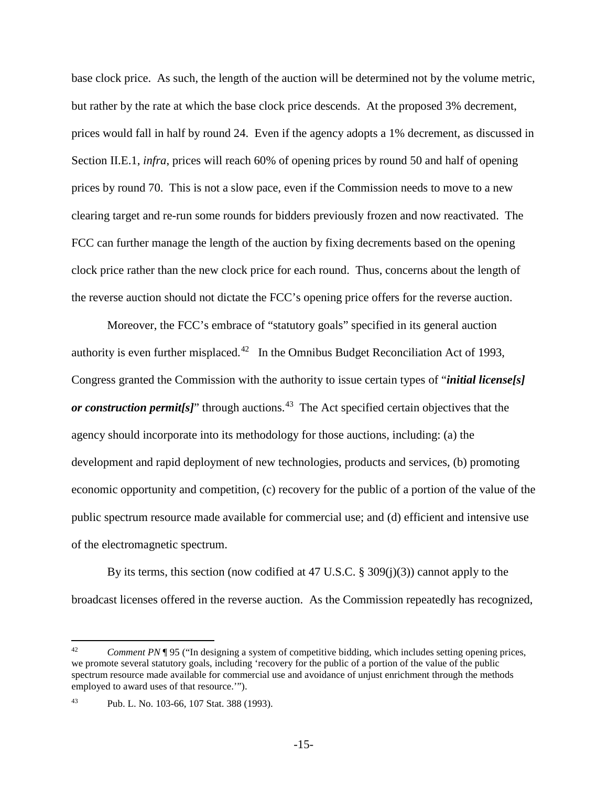base clock price. As such, the length of the auction will be determined not by the volume metric, but rather by the rate at which the base clock price descends. At the proposed 3% decrement, prices would fall in half by round 24. Even if the agency adopts a 1% decrement, as discussed in Section II.E.1, *infra*, prices will reach 60% of opening prices by round 50 and half of opening prices by round 70. This is not a slow pace, even if the Commission needs to move to a new clearing target and re-run some rounds for bidders previously frozen and now reactivated. The FCC can further manage the length of the auction by fixing decrements based on the opening clock price rather than the new clock price for each round. Thus, concerns about the length of the reverse auction should not dictate the FCC's opening price offers for the reverse auction.

Moreover, the FCC's embrace of "statutory goals" specified in its general auction authority is even further misplaced.<sup>[42](#page-21-0)</sup> In the Omnibus Budget Reconciliation Act of 1993, Congress granted the Commission with the authority to issue certain types of "*initial license[s] or construction permit[s]*" through auctions.<sup>43</sup> The Act specified certain objectives that the agency should incorporate into its methodology for those auctions, including: (a) the development and rapid deployment of new technologies, products and services, (b) promoting economic opportunity and competition, (c) recovery for the public of a portion of the value of the public spectrum resource made available for commercial use; and (d) efficient and intensive use of the electromagnetic spectrum.

By its terms, this section (now codified at 47 U.S.C.  $\S 309(i)(3)$ ) cannot apply to the broadcast licenses offered in the reverse auction. As the Commission repeatedly has recognized,

<span id="page-21-0"></span>*Comment PN* ¶ 95 ("In designing a system of competitive bidding, which includes setting opening prices, we promote several statutory goals, including 'recovery for the public of a portion of the value of the public spectrum resource made available for commercial use and avoidance of unjust enrichment through the methods employed to award uses of that resource.'"). 42

<span id="page-21-1"></span><sup>43</sup> Pub. L. No. 103-66, 107 Stat. 388 (1993).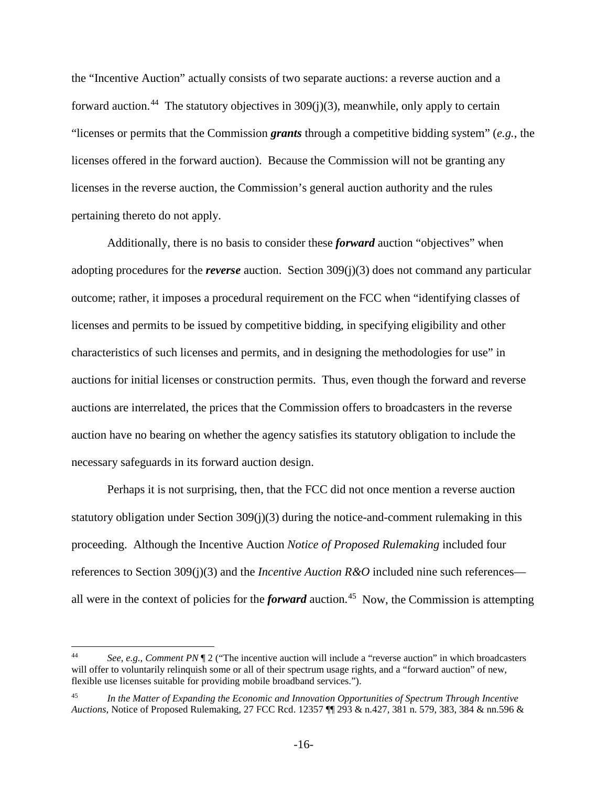the "Incentive Auction" actually consists of two separate auctions: a reverse auction and a forward auction.<sup>44</sup> The statutory objectives in  $309(i)(3)$ , meanwhile, only apply to certain "licenses or permits that the Commission *grants* through a competitive bidding system" (*e.g.*, the licenses offered in the forward auction). Because the Commission will not be granting any licenses in the reverse auction, the Commission's general auction authority and the rules pertaining thereto do not apply.

Additionally, there is no basis to consider these *forward* auction "objectives" when adopting procedures for the *reverse* auction. Section 309(j)(3) does not command any particular outcome; rather, it imposes a procedural requirement on the FCC when "identifying classes of licenses and permits to be issued by competitive bidding, in specifying eligibility and other characteristics of such licenses and permits, and in designing the methodologies for use" in auctions for initial licenses or construction permits. Thus, even though the forward and reverse auctions are interrelated, the prices that the Commission offers to broadcasters in the reverse auction have no bearing on whether the agency satisfies its statutory obligation to include the necessary safeguards in its forward auction design.

Perhaps it is not surprising, then, that the FCC did not once mention a reverse auction statutory obligation under Section  $309(j)(3)$  during the notice-and-comment rulemaking in this proceeding. Although the Incentive Auction *Notice of Proposed Rulemaking* included four references to Section 309(j)(3) and the *Incentive Auction R&O* included nine such references all were in the context of policies for the *forward* auction.<sup>45</sup> Now, the Commission is attempting

 $\overline{a}$ 

<span id="page-22-0"></span><sup>44</sup> *See, e.g.*, *Comment PN* ¶ 2 ("The incentive auction will include a "reverse auction" in which broadcasters will offer to voluntarily relinquish some or all of their spectrum usage rights, and a "forward auction" of new, flexible use licenses suitable for providing mobile broadband services.").

<span id="page-22-1"></span><sup>45</sup> *In the Matter of Expanding the Economic and Innovation Opportunities of Spectrum Through Incentive Auctions*, Notice of Proposed Rulemaking, 27 FCC Rcd. 12357 ¶¶ 293 & n.427, 381 n. 579, 383, 384 & nn.596 &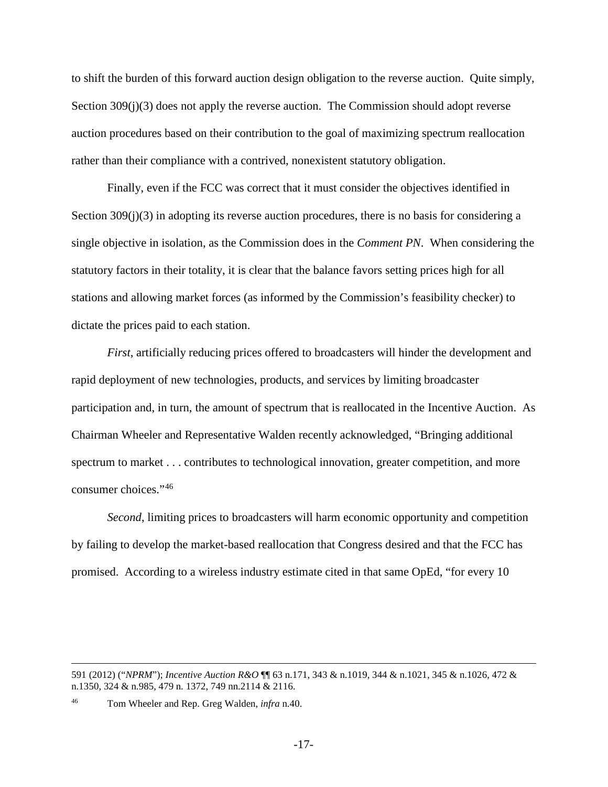to shift the burden of this forward auction design obligation to the reverse auction. Quite simply, Section 309(j)(3) does not apply the reverse auction. The Commission should adopt reverse auction procedures based on their contribution to the goal of maximizing spectrum reallocation rather than their compliance with a contrived, nonexistent statutory obligation.

Finally, even if the FCC was correct that it must consider the objectives identified in Section 309(j)(3) in adopting its reverse auction procedures, there is no basis for considering a single objective in isolation, as the Commission does in the *Comment PN*. When considering the statutory factors in their totality, it is clear that the balance favors setting prices high for all stations and allowing market forces (as informed by the Commission's feasibility checker) to dictate the prices paid to each station.

*First*, artificially reducing prices offered to broadcasters will hinder the development and rapid deployment of new technologies, products, and services by limiting broadcaster participation and, in turn, the amount of spectrum that is reallocated in the Incentive Auction. As Chairman Wheeler and Representative Walden recently acknowledged, "Bringing additional spectrum to market . . . contributes to technological innovation, greater competition, and more consumer choices."[46](#page-23-0) 

*Second*, limiting prices to broadcasters will harm economic opportunity and competition by failing to develop the market-based reallocation that Congress desired and that the FCC has promised. According to a wireless industry estimate cited in that same OpEd, "for every 10

 $\overline{a}$ 

<sup>591 (2012) (&</sup>quot;*NPRM*"); *Incentive Auction R&O* ¶¶ 63 n.171, 343 & n.1019, 344 & n.1021, 345 & n.1026, 472 & n.1350, 324 & n.985, 479 n. 1372, 749 nn.2114 & 2116.

<span id="page-23-0"></span><sup>46</sup> Tom Wheeler and Rep. Greg Walden, *infra* n.40.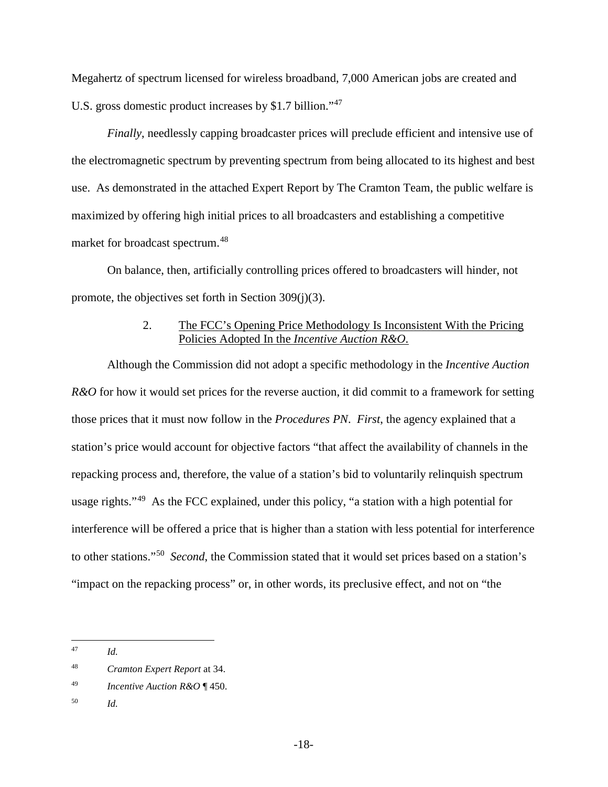Megahertz of spectrum licensed for wireless broadband, 7,000 American jobs are created and U.S. gross domestic product increases by \$1.7 billion."<sup>47</sup>

*Finally*, needlessly capping broadcaster prices will preclude efficient and intensive use of the electromagnetic spectrum by preventing spectrum from being allocated to its highest and best use. As demonstrated in the attached Expert Report by The Cramton Team, the public welfare is maximized by offering high initial prices to all broadcasters and establishing a competitive market for broadcast spectrum.[48](#page-24-2)

On balance, then, artificially controlling prices offered to broadcasters will hinder, not promote, the objectives set forth in Section 309(j)(3).

## 2. The FCC's Opening Price Methodology Is Inconsistent With the Pricing Policies Adopted In the *Incentive Auction R&O*.

<span id="page-24-0"></span>Although the Commission did not adopt a specific methodology in the *Incentive Auction R&O* for how it would set prices for the reverse auction, it did commit to a framework for setting those prices that it must now follow in the *Procedures PN*. *First*, the agency explained that a station's price would account for objective factors "that affect the availability of channels in the repacking process and, therefore, the value of a station's bid to voluntarily relinquish spectrum usage rights."<sup>49</sup> As the FCC explained, under this policy, "a station with a high potential for interference will be offered a price that is higher than a station with less potential for interference to other stations."[50](#page-24-4) *Second*, the Commission stated that it would set prices based on a station's "impact on the repacking process" or, in other words, its preclusive effect, and not on "the

<span id="page-24-4"></span><sup>50</sup> *Id.*

<span id="page-24-1"></span>*Id.* 47

<span id="page-24-2"></span><sup>48</sup> *Cramton Expert Report* at 34.

<span id="page-24-3"></span><sup>49</sup> *Incentive Auction R&O* ¶ 450.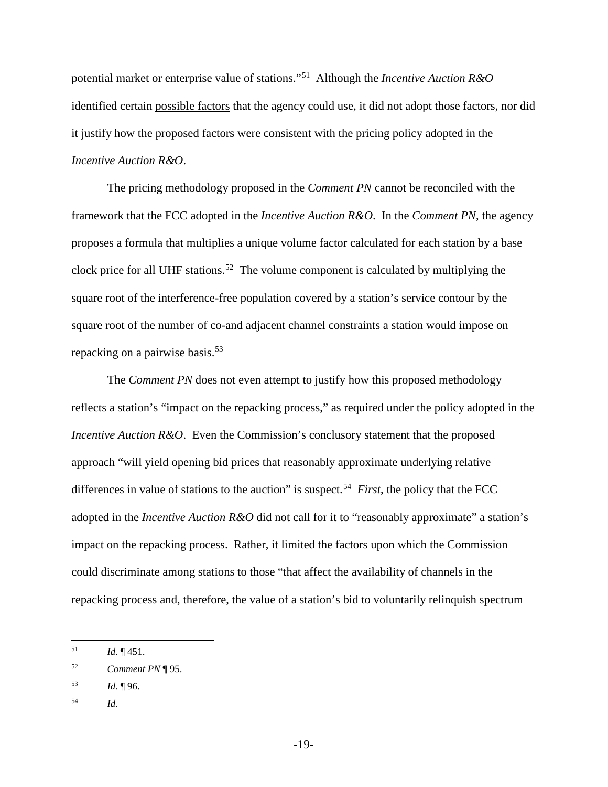potential market or enterprise value of stations."[51](#page-25-0) Although the *Incentive Auction R&O* identified certain possible factors that the agency could use, it did not adopt those factors, nor did it justify how the proposed factors were consistent with the pricing policy adopted in the *Incentive Auction R&O*.

The pricing methodology proposed in the *Comment PN* cannot be reconciled with the framework that the FCC adopted in the *Incentive Auction R&O*. In the *Comment PN*, the agency proposes a formula that multiplies a unique volume factor calculated for each station by a base clock price for all UHF stations.<sup>[52](#page-25-1)</sup> The volume component is calculated by multiplying the square root of the interference-free population covered by a station's service contour by the square root of the number of co-and adjacent channel constraints a station would impose on repacking on a pairwise basis.<sup>[53](#page-25-2)</sup>

The *Comment PN* does not even attempt to justify how this proposed methodology reflects a station's "impact on the repacking process," as required under the policy adopted in the *Incentive Auction R&O.* Even the Commission's conclusory statement that the proposed approach "will yield opening bid prices that reasonably approximate underlying relative differences in value of stations to the auction" is suspect.<sup>[54](#page-25-3)</sup> *First*, the policy that the FCC adopted in the *Incentive Auction R&O* did not call for it to "reasonably approximate" a station's impact on the repacking process. Rather, it limited the factors upon which the Commission could discriminate among stations to those "that affect the availability of channels in the repacking process and, therefore, the value of a station's bid to voluntarily relinquish spectrum

- <span id="page-25-2"></span><sup>53</sup> *Id.* ¶ 96.
- <span id="page-25-3"></span><sup>54</sup> *Id.*

<span id="page-25-0"></span>*Id.*  $\P$  451. 51

<span id="page-25-1"></span><sup>52</sup> *Comment PN* ¶ 95.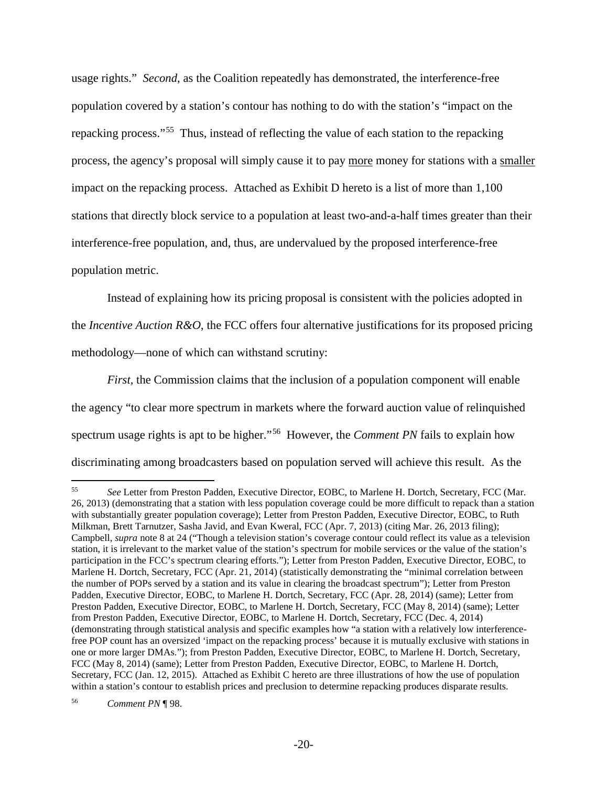usage rights." *Second*, as the Coalition repeatedly has demonstrated, the interference-free population covered by a station's contour has nothing to do with the station's "impact on the repacking process."[55](#page-26-0) Thus, instead of reflecting the value of each station to the repacking process, the agency's proposal will simply cause it to pay more money for stations with a smaller impact on the repacking process. Attached as Exhibit D hereto is a list of more than 1,100 stations that directly block service to a population at least two-and-a-half times greater than their interference-free population, and, thus, are undervalued by the proposed interference-free population metric.

Instead of explaining how its pricing proposal is consistent with the policies adopted in the *Incentive Auction R&O*, the FCC offers four alternative justifications for its proposed pricing methodology—none of which can withstand scrutiny:

*First,* the Commission claims that the inclusion of a population component will enable the agency "to clear more spectrum in markets where the forward auction value of relinquished spectrum usage rights is apt to be higher."[56](#page-26-1) However, the *Comment PN* fails to explain how discriminating among broadcasters based on population served will achieve this result. As the

<span id="page-26-1"></span><span id="page-26-0"></span><sup>55</sup> *See* Letter from Preston Padden, Executive Director, EOBC, to Marlene H. Dortch, Secretary, FCC (Mar. 26, 2013) (demonstrating that a station with less population coverage could be more difficult to repack than a station with substantially greater population coverage); Letter from Preston Padden, Executive Director, EOBC, to Ruth Milkman, Brett Tarnutzer, Sasha Javid, and Evan Kweral, FCC (Apr. 7, 2013) (citing Mar. 26, 2013 filing); Campbell, *supra* note 8 at 24 ("Though a television station's coverage contour could reflect its value as a television station, it is irrelevant to the market value of the station's spectrum for mobile services or the value of the station's participation in the FCC's spectrum clearing efforts."); Letter from Preston Padden, Executive Director, EOBC, to Marlene H. Dortch, Secretary, FCC (Apr. 21, 2014) (statistically demonstrating the "minimal correlation between the number of POPs served by a station and its value in clearing the broadcast spectrum"); Letter from Preston Padden, Executive Director, EOBC, to Marlene H. Dortch, Secretary, FCC (Apr. 28, 2014) (same); Letter from Preston Padden, Executive Director, EOBC, to Marlene H. Dortch, Secretary, FCC (May 8, 2014) (same); Letter from Preston Padden, Executive Director, EOBC, to Marlene H. Dortch, Secretary, FCC (Dec. 4, 2014) (demonstrating through statistical analysis and specific examples how "a station with a relatively low interferencefree POP count has an oversized 'impact on the repacking process' because it is mutually exclusive with stations in one or more larger DMAs."); from Preston Padden, Executive Director, EOBC, to Marlene H. Dortch, Secretary, FCC (May 8, 2014) (same); Letter from Preston Padden, Executive Director, EOBC, to Marlene H. Dortch, Secretary, FCC (Jan. 12, 2015). Attached as Exhibit C hereto are three illustrations of how the use of population within a station's contour to establish prices and preclusion to determine repacking produces disparate results.  $\overline{a}$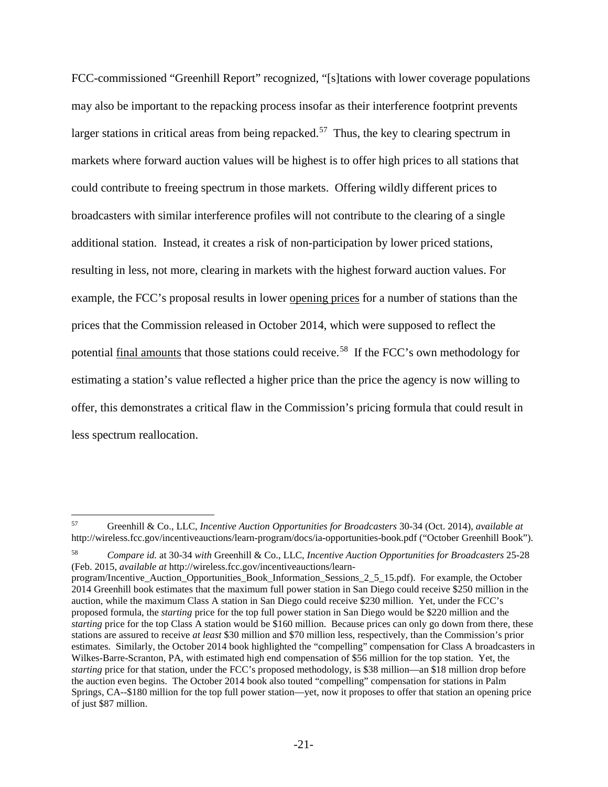FCC-commissioned "Greenhill Report" recognized, "[s]tations with lower coverage populations may also be important to the repacking process insofar as their interference footprint prevents larger stations in critical areas from being repacked.<sup>57</sup> Thus, the key to clearing spectrum in markets where forward auction values will be highest is to offer high prices to all stations that could contribute to freeing spectrum in those markets. Offering wildly different prices to broadcasters with similar interference profiles will not contribute to the clearing of a single additional station. Instead, it creates a risk of non-participation by lower priced stations, resulting in less, not more, clearing in markets with the highest forward auction values. For example, the FCC's proposal results in lower opening prices for a number of stations than the prices that the Commission released in October 2014, which were supposed to reflect the potential final amounts that those stations could receive.<sup>58</sup> If the FCC's own methodology for estimating a station's value reflected a higher price than the price the agency is now willing to offer, this demonstrates a critical flaw in the Commission's pricing formula that could result in less spectrum reallocation.

<span id="page-27-0"></span><sup>57</sup> Greenhill & Co., LLC, *Incentive Auction Opportunities for Broadcasters* 30-34 (Oct. 2014), *available at* http://wireless.fcc.gov/incentiveauctions/learn-program/docs/ia-opportunities-book.pdf ("October Greenhill Book"). 57

<span id="page-27-1"></span><sup>58</sup> *Compare id.* at 30-34 *with* Greenhill & Co., LLC, *Incentive Auction Opportunities for Broadcasters* 25-28 (Feb. 2015, *available at* http://wireless.fcc.gov/incentiveauctions/learn-

program/Incentive\_Auction\_Opportunities\_Book\_Information\_Sessions\_2\_5\_15.pdf). For example, the October 2014 Greenhill book estimates that the maximum full power station in San Diego could receive \$250 million in the auction, while the maximum Class A station in San Diego could receive \$230 million. Yet, under the FCC's proposed formula, the *starting* price for the top full power station in San Diego would be \$220 million and the *starting* price for the top Class A station would be \$160 million. Because prices can only go down from there, these stations are assured to receive *at least* \$30 million and \$70 million less, respectively, than the Commission's prior estimates. Similarly, the October 2014 book highlighted the "compelling" compensation for Class A broadcasters in Wilkes-Barre-Scranton, PA, with estimated high end compensation of \$56 million for the top station. Yet, the *starting* price for that station, under the FCC's proposed methodology, is \$38 million—an \$18 million drop before the auction even begins. The October 2014 book also touted "compelling" compensation for stations in Palm Springs, CA--\$180 million for the top full power station—yet, now it proposes to offer that station an opening price of just \$87 million.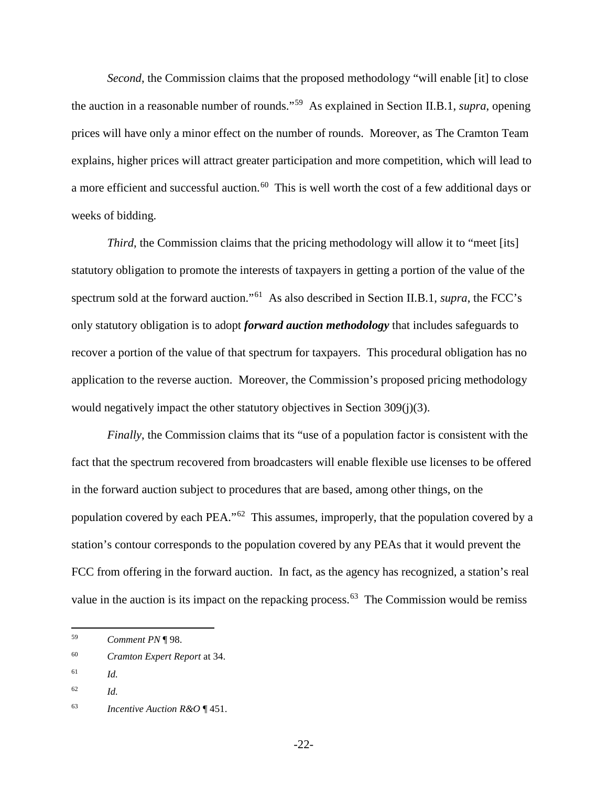*Second*, the Commission claims that the proposed methodology "will enable [it] to close the auction in a reasonable number of rounds."[59](#page-28-0) As explained in Section II.B.1, *supra*, opening prices will have only a minor effect on the number of rounds. Moreover, as The Cramton Team explains, higher prices will attract greater participation and more competition, which will lead to a more efficient and successful auction.<sup>60</sup> This is well worth the cost of a few additional days or weeks of bidding.

*Third*, the Commission claims that the pricing methodology will allow it to "meet [its] statutory obligation to promote the interests of taxpayers in getting a portion of the value of the spectrum sold at the forward auction."[61](#page-28-2) As also described in Section II.B.1, *supra*, the FCC's only statutory obligation is to adopt *forward auction methodology* that includes safeguards to recover a portion of the value of that spectrum for taxpayers. This procedural obligation has no application to the reverse auction. Moreover, the Commission's proposed pricing methodology would negatively impact the other statutory objectives in Section 309(j)(3).

*Finally*, the Commission claims that its "use of a population factor is consistent with the fact that the spectrum recovered from broadcasters will enable flexible use licenses to be offered in the forward auction subject to procedures that are based, among other things, on the population covered by each PEA."[62](#page-28-3) This assumes, improperly, that the population covered by a station's contour corresponds to the population covered by any PEAs that it would prevent the FCC from offering in the forward auction. In fact, as the agency has recognized, a station's real value in the auction is its impact on the repacking process.<sup>63</sup> The Commission would be remiss

 $\overline{a}$ 

-22-

<span id="page-28-0"></span><sup>59</sup> *Comment PN* ¶ 98.

<span id="page-28-1"></span><sup>60</sup> *Cramton Expert Report* at 34.

<span id="page-28-2"></span><sup>61</sup> *Id.*

<span id="page-28-3"></span><sup>62</sup> *Id.*

<span id="page-28-4"></span><sup>63</sup> *Incentive Auction R&O* ¶ 451.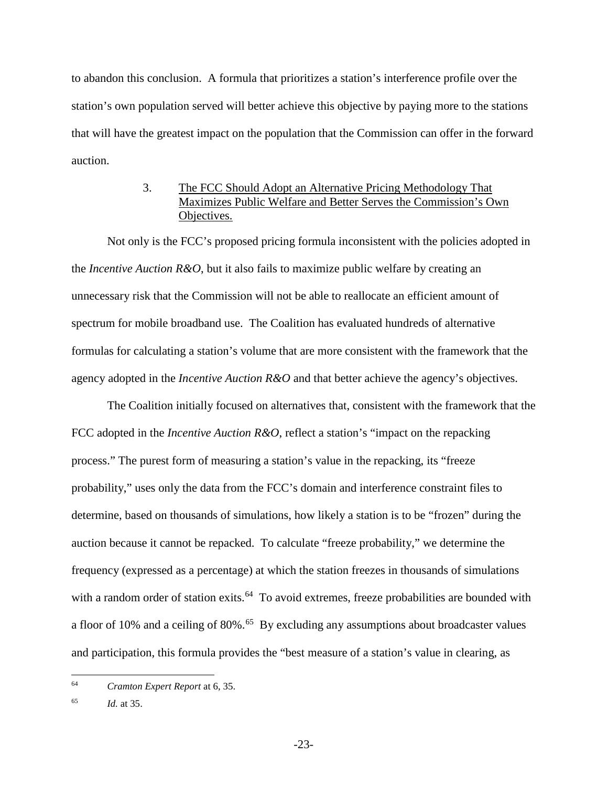to abandon this conclusion. A formula that prioritizes a station's interference profile over the station's own population served will better achieve this objective by paying more to the stations that will have the greatest impact on the population that the Commission can offer in the forward auction.

## 3. The FCC Should Adopt an Alternative Pricing Methodology That Maximizes Public Welfare and Better Serves the Commission's Own Objectives.

<span id="page-29-0"></span>Not only is the FCC's proposed pricing formula inconsistent with the policies adopted in the *Incentive Auction R&O*, but it also fails to maximize public welfare by creating an unnecessary risk that the Commission will not be able to reallocate an efficient amount of spectrum for mobile broadband use. The Coalition has evaluated hundreds of alternative formulas for calculating a station's volume that are more consistent with the framework that the agency adopted in the *Incentive Auction R&O* and that better achieve the agency's objectives.

The Coalition initially focused on alternatives that, consistent with the framework that the FCC adopted in the *Incentive Auction R&O*, reflect a station's "impact on the repacking process." The purest form of measuring a station's value in the repacking, its "freeze probability," uses only the data from the FCC's domain and interference constraint files to determine, based on thousands of simulations, how likely a station is to be "frozen" during the auction because it cannot be repacked. To calculate "freeze probability," we determine the frequency (expressed as a percentage) at which the station freezes in thousands of simulations with a random order of station exits.<sup>[64](#page-29-1)</sup> To avoid extremes, freeze probabilities are bounded with a floor of 10% and a ceiling of 80%.<sup>65</sup> By excluding any assumptions about broadcaster values and participation, this formula provides the "best measure of a station's value in clearing, as

<span id="page-29-1"></span><sup>64</sup> *Cramton Expert Report* at 6, 35.  $\overline{a}$ 

<span id="page-29-2"></span><sup>65</sup> *Id.* at 35.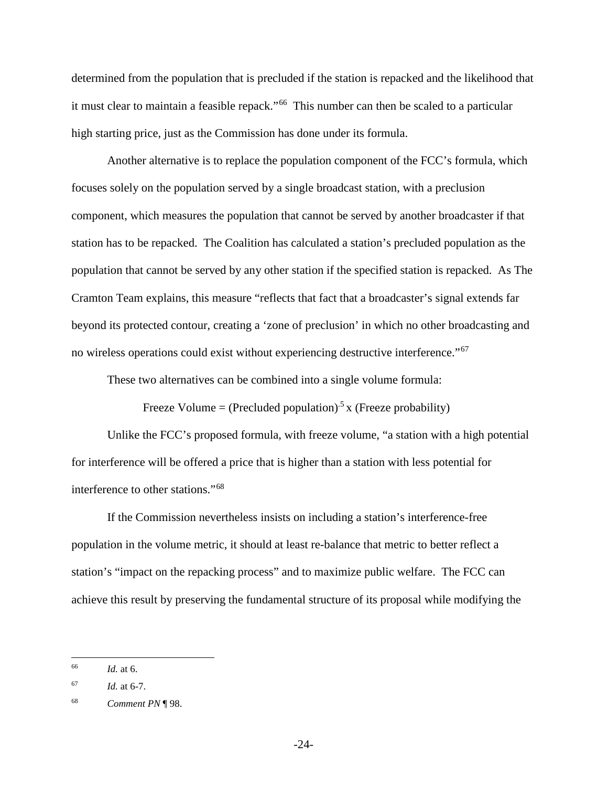determined from the population that is precluded if the station is repacked and the likelihood that it must clear to maintain a feasible repack."<sup>[66](#page-30-0)</sup> This number can then be scaled to a particular high starting price, just as the Commission has done under its formula.

Another alternative is to replace the population component of the FCC's formula, which focuses solely on the population served by a single broadcast station, with a preclusion component, which measures the population that cannot be served by another broadcaster if that station has to be repacked. The Coalition has calculated a station's precluded population as the population that cannot be served by any other station if the specified station is repacked. As The Cramton Team explains, this measure "reflects that fact that a broadcaster's signal extends far beyond its protected contour, creating a 'zone of preclusion' in which no other broadcasting and no wireless operations could exist without experiencing destructive interference."[67](#page-30-1)

These two alternatives can be combined into a single volume formula:

Freeze Volume = (Precluded population)<sup>5</sup> x (Freeze probability)

Unlike the FCC's proposed formula, with freeze volume, "a station with a high potential for interference will be offered a price that is higher than a station with less potential for interference to other stations."[68](#page-30-2) 

If the Commission nevertheless insists on including a station's interference-free population in the volume metric, it should at least re-balance that metric to better reflect a station's "impact on the repacking process" and to maximize public welfare. The FCC can achieve this result by preserving the fundamental structure of its proposal while modifying the

<span id="page-30-0"></span>*Id.* at 6. 66

<span id="page-30-1"></span> $Id.$  at 6-7.

<span id="page-30-2"></span><sup>68</sup> *Comment PN* ¶ 98.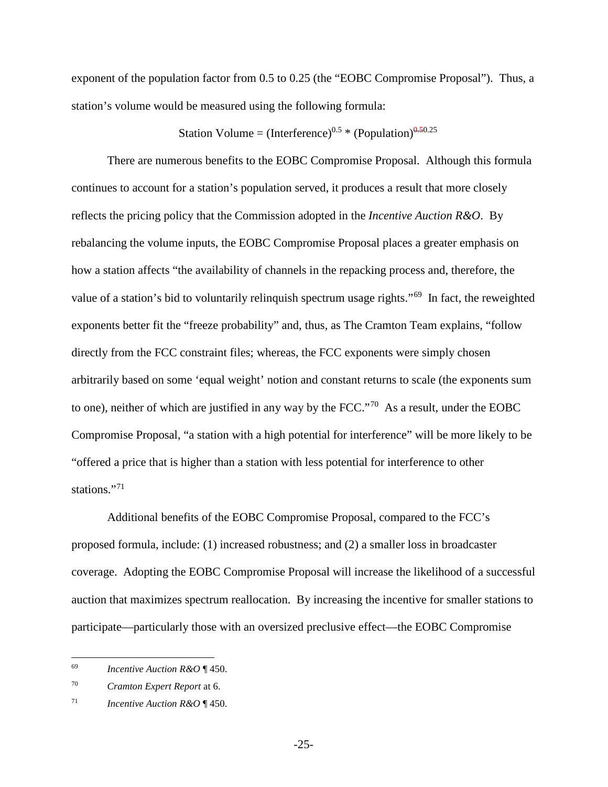exponent of the population factor from 0.5 to 0.25 (the "EOBC Compromise Proposal"). Thus, a station's volume would be measured using the following formula:

## Station Volume = (Interference)<sup>0.5</sup> \* (Population)<sup>0.50.25</sup>

There are numerous benefits to the EOBC Compromise Proposal. Although this formula continues to account for a station's population served, it produces a result that more closely reflects the pricing policy that the Commission adopted in the *Incentive Auction R&O*. By rebalancing the volume inputs, the EOBC Compromise Proposal places a greater emphasis on how a station affects "the availability of channels in the repacking process and, therefore, the value of a station's bid to voluntarily relinquish spectrum usage rights."[69](#page-31-0) In fact, the reweighted exponents better fit the "freeze probability" and, thus, as The Cramton Team explains, "follow directly from the FCC constraint files; whereas, the FCC exponents were simply chosen arbitrarily based on some 'equal weight' notion and constant returns to scale (the exponents sum to one), neither of which are justified in any way by the FCC."[70](#page-31-1) As a result, under the EOBC Compromise Proposal, "a station with a high potential for interference" will be more likely to be "offered a price that is higher than a station with less potential for interference to other stations."<sup>[71](#page-31-2)</sup>

Additional benefits of the EOBC Compromise Proposal, compared to the FCC's proposed formula, include: (1) increased robustness; and (2) a smaller loss in broadcaster coverage. Adopting the EOBC Compromise Proposal will increase the likelihood of a successful auction that maximizes spectrum reallocation. By increasing the incentive for smaller stations to participate—particularly those with an oversized preclusive effect—the EOBC Compromise

<span id="page-31-0"></span><sup>69</sup> *Incentive Auction R&O* ¶ 450. 69

<span id="page-31-1"></span><sup>70</sup> *Cramton Expert Report* at 6.

<span id="page-31-2"></span><sup>71</sup> *Incentive Auction R&O* ¶ 450.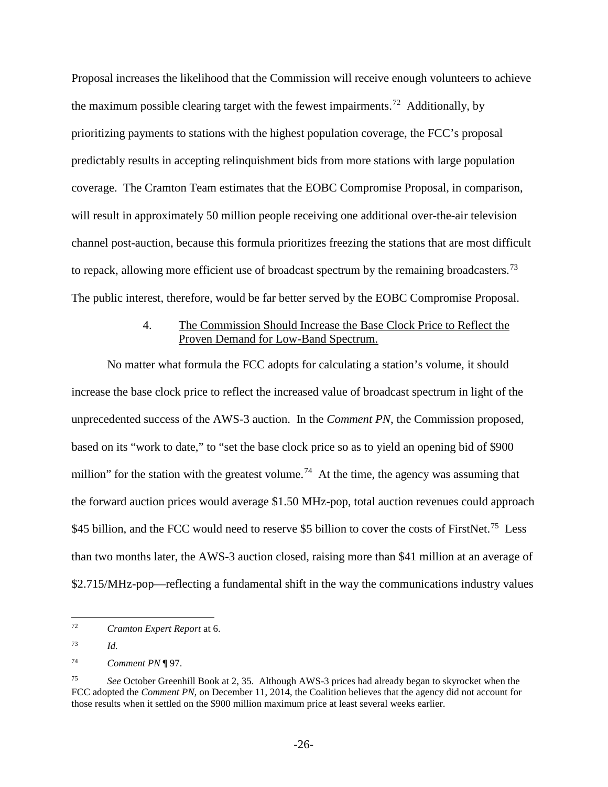Proposal increases the likelihood that the Commission will receive enough volunteers to achieve the maximum possible clearing target with the fewest impairments.<sup>72</sup> Additionally, by prioritizing payments to stations with the highest population coverage, the FCC's proposal predictably results in accepting relinquishment bids from more stations with large population coverage. The Cramton Team estimates that the EOBC Compromise Proposal, in comparison, will result in approximately 50 million people receiving one additional over-the-air television channel post-auction, because this formula prioritizes freezing the stations that are most difficult to repack, allowing more efficient use of broadcast spectrum by the remaining broadcasters.<sup>73</sup> The public interest, therefore, would be far better served by the EOBC Compromise Proposal.

### 4. The Commission Should Increase the Base Clock Price to Reflect the Proven Demand for Low-Band Spectrum.

<span id="page-32-0"></span>No matter what formula the FCC adopts for calculating a station's volume, it should increase the base clock price to reflect the increased value of broadcast spectrum in light of the unprecedented success of the AWS-3 auction. In the *Comment PN*, the Commission proposed, based on its "work to date," to "set the base clock price so as to yield an opening bid of \$900 million" for the station with the greatest volume.<sup>74</sup> At the time, the agency was assuming that the forward auction prices would average \$1.50 MHz-pop, total auction revenues could approach \$45 billion, and the FCC would need to reserve \$5 billion to cover the costs of FirstNet.<sup>75</sup> Less than two months later, the AWS-3 auction closed, raising more than \$41 million at an average of \$2.715/MHz-pop—reflecting a fundamental shift in the way the communications industry values

<span id="page-32-1"></span>*Cramton Expert Report* at 6. 72

<span id="page-32-2"></span><sup>73</sup> *Id.*

<span id="page-32-3"></span><sup>74</sup> *Comment PN* ¶ 97.

<span id="page-32-4"></span><sup>75</sup> *See* October Greenhill Book at 2, 35. Although AWS-3 prices had already began to skyrocket when the FCC adopted the *Comment PN*, on December 11, 2014, the Coalition believes that the agency did not account for those results when it settled on the \$900 million maximum price at least several weeks earlier.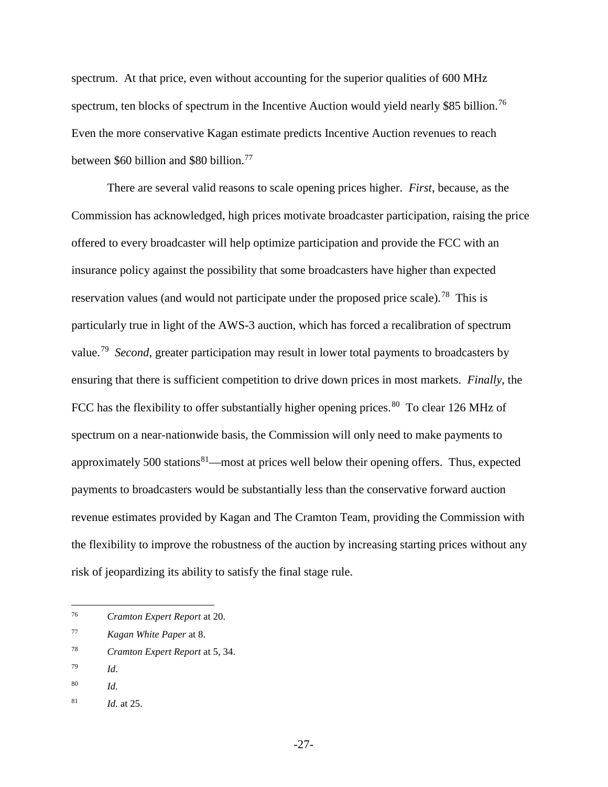spectrum. At that price, even without accounting for the superior qualities of 600 MHz spectrum, ten blocks of spectrum in the Incentive Auction would yield nearly \$85 billion.<sup>[76](#page-33-0)</sup> Even the more conservative Kagan estimate predicts Incentive Auction revenues to reach between \$60 billion and \$80 billion.<sup>[77](#page-33-1)</sup>

There are several valid reasons to scale opening prices higher. *First*, because, as the Commission has acknowledged, high prices motivate broadcaster participation, raising the price offered to every broadcaster will help optimize participation and provide the FCC with an insurance policy against the possibility that some broadcasters have higher than expected reservation values (and would not participate under the proposed price scale).<sup>78</sup> This is particularly true in light of the AWS-3 auction, which has forced a recalibration of spectrum value.[79](#page-33-3) *Second*, greater participation may result in lower total payments to broadcasters by ensuring that there is sufficient competition to drive down prices in most markets. *Finally*, the FCC has the flexibility to offer substantially higher opening prices.<sup>80</sup> To clear 126 MHz of spectrum on a near-nationwide basis, the Commission will only need to make payments to approximately 500 stations $81$ —most at prices well below their opening offers. Thus, expected payments to broadcasters would be substantially less than the conservative forward auction revenue estimates provided by Kagan and The Cramton Team, providing the Commission with the flexibility to improve the robustness of the auction by increasing starting prices without any risk of jeopardizing its ability to satisfy the final stage rule.

- <span id="page-33-0"></span><sup>76</sup> *Cramton Expert Report* at 20. 76
- <span id="page-33-1"></span><sup>77</sup> *Kagan White Paper* at 8.
- <span id="page-33-2"></span><sup>78</sup> *Cramton Expert Report* at 5, 34.
- <span id="page-33-3"></span><sup>79</sup> *Id*.
- <span id="page-33-4"></span><sup>80</sup> *Id.*

<span id="page-33-5"></span><sup>81</sup> *Id.* at 25.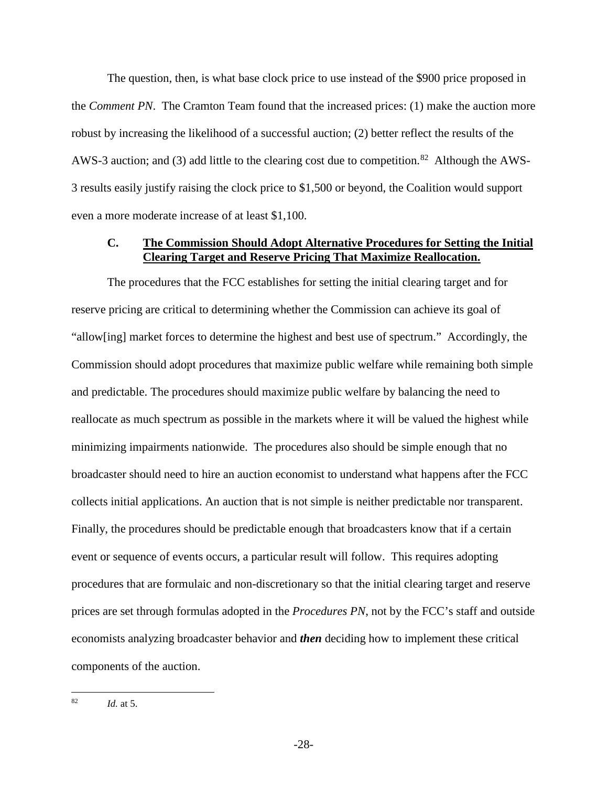The question, then, is what base clock price to use instead of the \$900 price proposed in the *Comment PN*. The Cramton Team found that the increased prices: (1) make the auction more robust by increasing the likelihood of a successful auction; (2) better reflect the results of the AWS-3 auction; and (3) add little to the clearing cost due to competition.<sup>82</sup> Although the AWS-3 results easily justify raising the clock price to \$1,500 or beyond, the Coalition would support even a more moderate increase of at least \$1,100.

## <span id="page-34-0"></span>**C. The Commission Should Adopt Alternative Procedures for Setting the Initial Clearing Target and Reserve Pricing That Maximize Reallocation.**

The procedures that the FCC establishes for setting the initial clearing target and for reserve pricing are critical to determining whether the Commission can achieve its goal of "allow[ing] market forces to determine the highest and best use of spectrum." Accordingly, the Commission should adopt procedures that maximize public welfare while remaining both simple and predictable. The procedures should maximize public welfare by balancing the need to reallocate as much spectrum as possible in the markets where it will be valued the highest while minimizing impairments nationwide. The procedures also should be simple enough that no broadcaster should need to hire an auction economist to understand what happens after the FCC collects initial applications. An auction that is not simple is neither predictable nor transparent. Finally, the procedures should be predictable enough that broadcasters know that if a certain event or sequence of events occurs, a particular result will follow. This requires adopting procedures that are formulaic and non-discretionary so that the initial clearing target and reserve prices are set through formulas adopted in the *Procedures PN*, not by the FCC's staff and outside economists analyzing broadcaster behavior and *then* deciding how to implement these critical components of the auction.

<span id="page-34-1"></span>*Id.* at 5. 82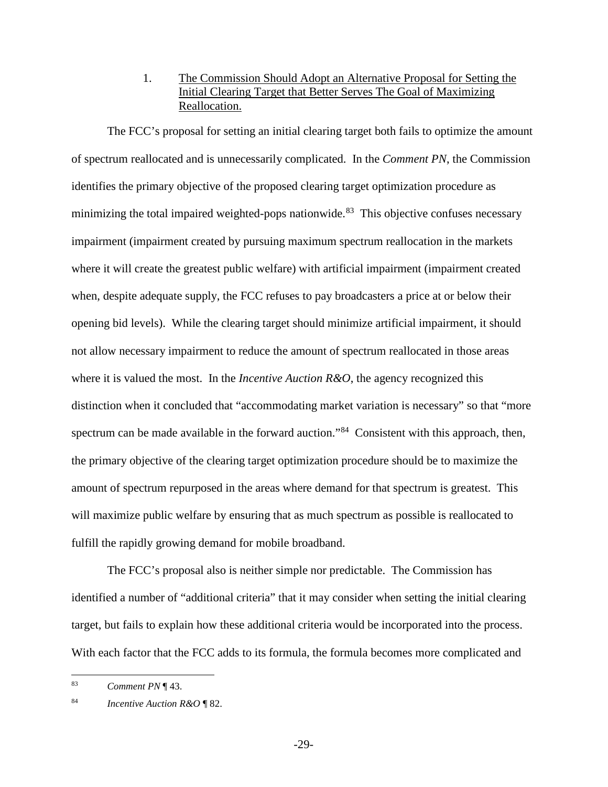1. The Commission Should Adopt an Alternative Proposal for Setting the Initial Clearing Target that Better Serves The Goal of Maximizing Reallocation.

<span id="page-35-0"></span>The FCC's proposal for setting an initial clearing target both fails to optimize the amount of spectrum reallocated and is unnecessarily complicated. In the *Comment PN*, the Commission identifies the primary objective of the proposed clearing target optimization procedure as minimizing the total impaired weighted-pops nationwide.<sup>83</sup> This objective confuses necessary impairment (impairment created by pursuing maximum spectrum reallocation in the markets where it will create the greatest public welfare) with artificial impairment (impairment created when, despite adequate supply, the FCC refuses to pay broadcasters a price at or below their opening bid levels). While the clearing target should minimize artificial impairment, it should not allow necessary impairment to reduce the amount of spectrum reallocated in those areas where it is valued the most. In the *Incentive Auction R&O*, the agency recognized this distinction when it concluded that "accommodating market variation is necessary" so that "more spectrum can be made available in the forward auction."<sup>84</sup> Consistent with this approach, then, the primary objective of the clearing target optimization procedure should be to maximize the amount of spectrum repurposed in the areas where demand for that spectrum is greatest. This will maximize public welfare by ensuring that as much spectrum as possible is reallocated to fulfill the rapidly growing demand for mobile broadband.

The FCC's proposal also is neither simple nor predictable. The Commission has identified a number of "additional criteria" that it may consider when setting the initial clearing target, but fails to explain how these additional criteria would be incorporated into the process. With each factor that the FCC adds to its formula, the formula becomes more complicated and

<span id="page-35-1"></span><sup>83</sup> *Comment PN* ¶ 43. 83

<span id="page-35-2"></span><sup>84</sup> *Incentive Auction R&O* ¶ 82.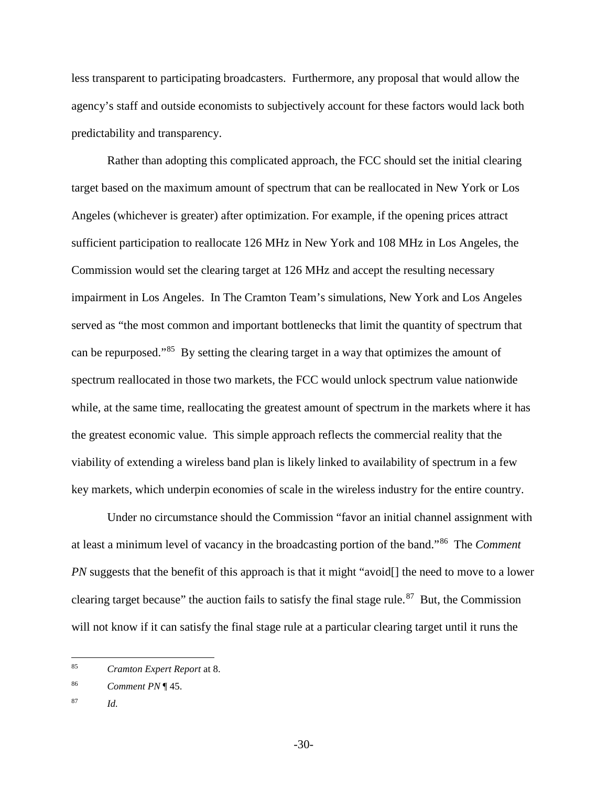less transparent to participating broadcasters. Furthermore, any proposal that would allow the agency's staff and outside economists to subjectively account for these factors would lack both predictability and transparency.

Rather than adopting this complicated approach, the FCC should set the initial clearing target based on the maximum amount of spectrum that can be reallocated in New York or Los Angeles (whichever is greater) after optimization. For example, if the opening prices attract sufficient participation to reallocate 126 MHz in New York and 108 MHz in Los Angeles, the Commission would set the clearing target at 126 MHz and accept the resulting necessary impairment in Los Angeles. In The Cramton Team's simulations, New York and Los Angeles served as "the most common and important bottlenecks that limit the quantity of spectrum that can be repurposed."[85](#page-36-0) By setting the clearing target in a way that optimizes the amount of spectrum reallocated in those two markets, the FCC would unlock spectrum value nationwide while, at the same time, reallocating the greatest amount of spectrum in the markets where it has the greatest economic value. This simple approach reflects the commercial reality that the viability of extending a wireless band plan is likely linked to availability of spectrum in a few key markets, which underpin economies of scale in the wireless industry for the entire country.

Under no circumstance should the Commission "favor an initial channel assignment with at least a minimum level of vacancy in the broadcasting portion of the band."[86](#page-36-1) The *Comment PN* suggests that the benefit of this approach is that it might "avoid<sup>[]</sup> the need to move to a lower clearing target because" the auction fails to satisfy the final stage rule.<sup>[87](#page-36-2)</sup> But, the Commission will not know if it can satisfy the final stage rule at a particular clearing target until it runs the

<span id="page-36-0"></span><sup>85</sup> *Cramton Expert Report* at 8. 85

<span id="page-36-1"></span><sup>86</sup> *Comment PN* ¶ 45.

<span id="page-36-2"></span><sup>87</sup> *Id.*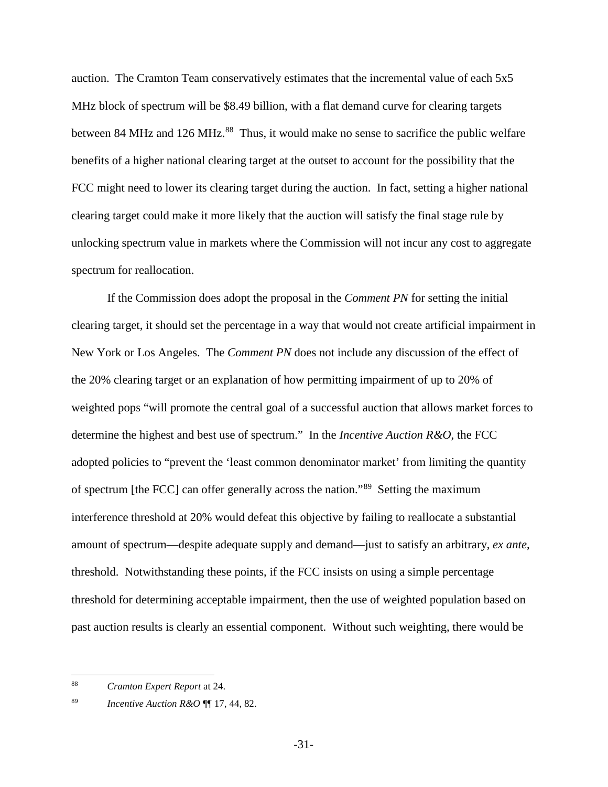auction. The Cramton Team conservatively estimates that the incremental value of each 5x5 MHz block of spectrum will be \$8.49 billion, with a flat demand curve for clearing targets between 84 MHz and 126 MHz.<sup>[88](#page-37-0)</sup> Thus, it would make no sense to sacrifice the public welfare benefits of a higher national clearing target at the outset to account for the possibility that the FCC might need to lower its clearing target during the auction. In fact, setting a higher national clearing target could make it more likely that the auction will satisfy the final stage rule by unlocking spectrum value in markets where the Commission will not incur any cost to aggregate spectrum for reallocation.

If the Commission does adopt the proposal in the *Comment PN* for setting the initial clearing target, it should set the percentage in a way that would not create artificial impairment in New York or Los Angeles. The *Comment PN* does not include any discussion of the effect of the 20% clearing target or an explanation of how permitting impairment of up to 20% of weighted pops "will promote the central goal of a successful auction that allows market forces to determine the highest and best use of spectrum." In the *Incentive Auction R&O*, the FCC adopted policies to "prevent the 'least common denominator market' from limiting the quantity of spectrum [the FCC] can offer generally across the nation."[89](#page-37-1) Setting the maximum interference threshold at 20% would defeat this objective by failing to reallocate a substantial amount of spectrum—despite adequate supply and demand—just to satisfy an arbitrary, *ex ante*, threshold. Notwithstanding these points, if the FCC insists on using a simple percentage threshold for determining acceptable impairment, then the use of weighted population based on past auction results is clearly an essential component. Without such weighting, there would be

 $\overline{a}$ 

<span id="page-37-0"></span><sup>88</sup> *Cramton Expert Report* at 24.

<span id="page-37-1"></span><sup>89</sup> *Incentive Auction R&O* ¶¶ 17, 44, 82.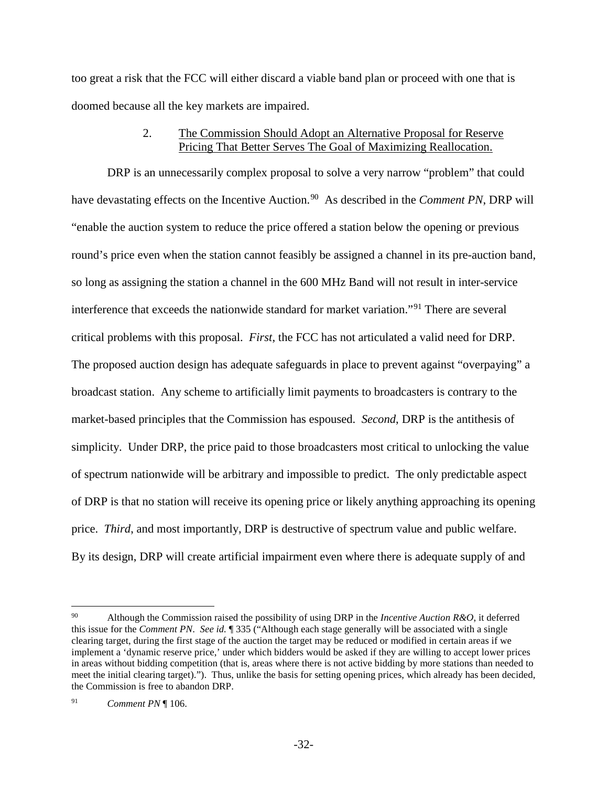too great a risk that the FCC will either discard a viable band plan or proceed with one that is doomed because all the key markets are impaired.

## 2. The Commission Should Adopt an Alternative Proposal for Reserve Pricing That Better Serves The Goal of Maximizing Reallocation.

<span id="page-38-0"></span>DRP is an unnecessarily complex proposal to solve a very narrow "problem" that could have devastating effects on the Incentive Auction.<sup>[90](#page-38-1)</sup> As described in the *Comment PN*, DRP will "enable the auction system to reduce the price offered a station below the opening or previous round's price even when the station cannot feasibly be assigned a channel in its pre-auction band, so long as assigning the station a channel in the 600 MHz Band will not result in inter-service interference that exceeds the nationwide standard for market variation."[91](#page-38-2) There are several critical problems with this proposal. *First*, the FCC has not articulated a valid need for DRP. The proposed auction design has adequate safeguards in place to prevent against "overpaying" a broadcast station. Any scheme to artificially limit payments to broadcasters is contrary to the market-based principles that the Commission has espoused. *Second*, DRP is the antithesis of simplicity. Under DRP, the price paid to those broadcasters most critical to unlocking the value of spectrum nationwide will be arbitrary and impossible to predict. The only predictable aspect of DRP is that no station will receive its opening price or likely anything approaching its opening price. *Third*, and most importantly, DRP is destructive of spectrum value and public welfare. By its design, DRP will create artificial impairment even where there is adequate supply of and

 $\overline{a}$ 

<span id="page-38-1"></span><sup>90</sup> Although the Commission raised the possibility of using DRP in the *Incentive Auction R&O*, it deferred this issue for the *Comment PN*. *See id.* ¶ 335 ("Although each stage generally will be associated with a single clearing target, during the first stage of the auction the target may be reduced or modified in certain areas if we implement a 'dynamic reserve price,' under which bidders would be asked if they are willing to accept lower prices in areas without bidding competition (that is, areas where there is not active bidding by more stations than needed to meet the initial clearing target)."). Thus, unlike the basis for setting opening prices, which already has been decided, the Commission is free to abandon DRP.

<span id="page-38-2"></span><sup>91</sup> *Comment PN* ¶ 106.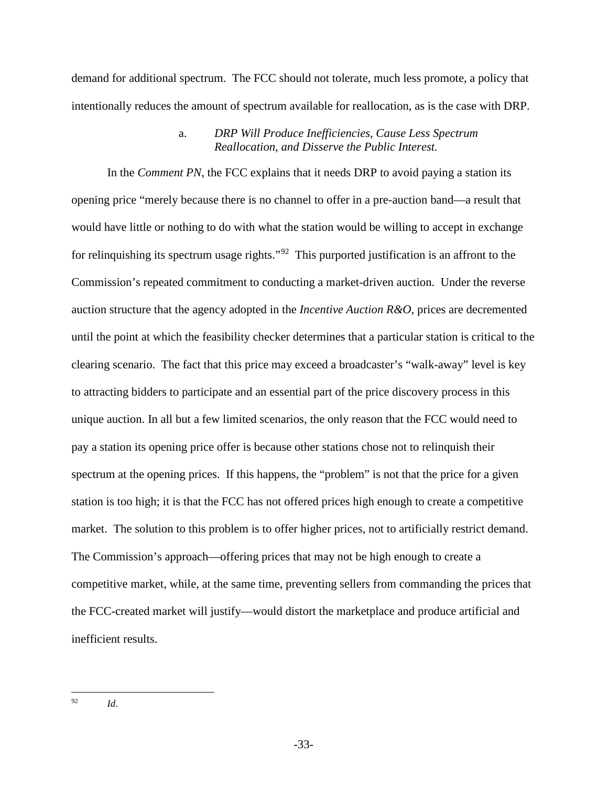demand for additional spectrum. The FCC should not tolerate, much less promote, a policy that intentionally reduces the amount of spectrum available for reallocation, as is the case with DRP.

### a. *DRP Will Produce Inefficiencies, Cause Less Spectrum Reallocation, and Disserve the Public Interest.*

In the *Comment PN*, the FCC explains that it needs DRP to avoid paying a station its opening price "merely because there is no channel to offer in a pre-auction band—a result that would have little or nothing to do with what the station would be willing to accept in exchange for relinquishing its spectrum usage rights."<sup>[92](#page-39-0)</sup> This purported justification is an affront to the Commission's repeated commitment to conducting a market-driven auction. Under the reverse auction structure that the agency adopted in the *Incentive Auction R&O*, prices are decremented until the point at which the feasibility checker determines that a particular station is critical to the clearing scenario. The fact that this price may exceed a broadcaster's "walk-away" level is key to attracting bidders to participate and an essential part of the price discovery process in this unique auction. In all but a few limited scenarios, the only reason that the FCC would need to pay a station its opening price offer is because other stations chose not to relinquish their spectrum at the opening prices. If this happens, the "problem" is not that the price for a given station is too high; it is that the FCC has not offered prices high enough to create a competitive market. The solution to this problem is to offer higher prices, not to artificially restrict demand. The Commission's approach—offering prices that may not be high enough to create a competitive market, while, at the same time, preventing sellers from commanding the prices that the FCC-created market will justify—would distort the marketplace and produce artificial and inefficient results.

 $Id.$ 

<span id="page-39-0"></span><sup>92</sup>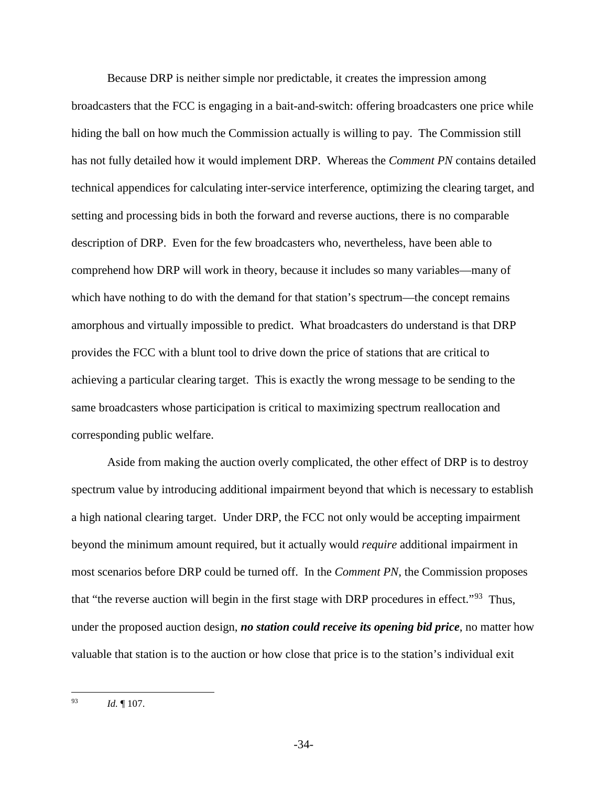Because DRP is neither simple nor predictable, it creates the impression among broadcasters that the FCC is engaging in a bait-and-switch: offering broadcasters one price while hiding the ball on how much the Commission actually is willing to pay. The Commission still has not fully detailed how it would implement DRP. Whereas the *Comment PN* contains detailed technical appendices for calculating inter-service interference, optimizing the clearing target, and setting and processing bids in both the forward and reverse auctions, there is no comparable description of DRP. Even for the few broadcasters who, nevertheless, have been able to comprehend how DRP will work in theory, because it includes so many variables—many of which have nothing to do with the demand for that station's spectrum—the concept remains amorphous and virtually impossible to predict. What broadcasters do understand is that DRP provides the FCC with a blunt tool to drive down the price of stations that are critical to achieving a particular clearing target. This is exactly the wrong message to be sending to the same broadcasters whose participation is critical to maximizing spectrum reallocation and corresponding public welfare.

Aside from making the auction overly complicated, the other effect of DRP is to destroy spectrum value by introducing additional impairment beyond that which is necessary to establish a high national clearing target. Under DRP, the FCC not only would be accepting impairment beyond the minimum amount required, but it actually would *require* additional impairment in most scenarios before DRP could be turned off. In the *Comment PN*, the Commission proposes that "the reverse auction will begin in the first stage with DRP procedures in effect."<sup>[93](#page-40-0)</sup> Thus, under the proposed auction design, *no station could receive its opening bid price*, no matter how valuable that station is to the auction or how close that price is to the station's individual exit

<span id="page-40-0"></span>*Id.* 107. 93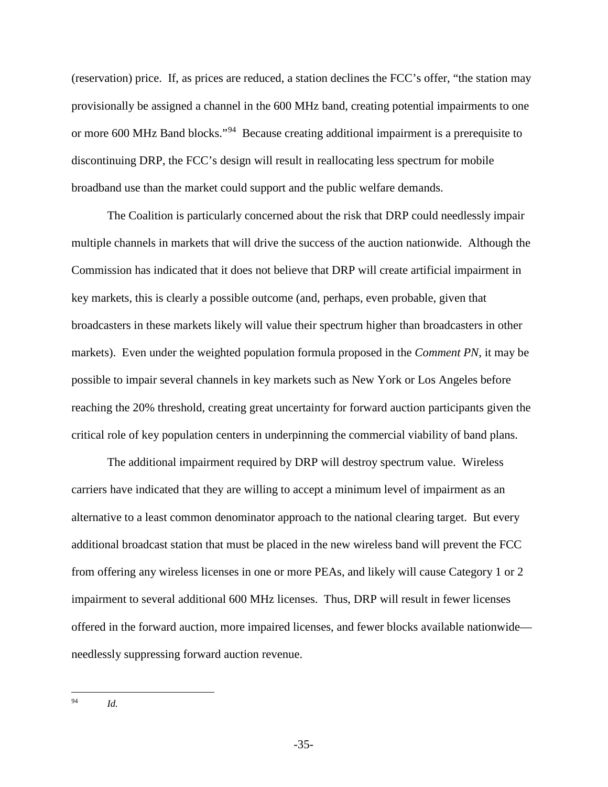(reservation) price. If, as prices are reduced, a station declines the FCC's offer, "the station may provisionally be assigned a channel in the 600 MHz band, creating potential impairments to one or more 600 MHz Band blocks."[94](#page-41-0) Because creating additional impairment is a prerequisite to discontinuing DRP, the FCC's design will result in reallocating less spectrum for mobile broadband use than the market could support and the public welfare demands.

The Coalition is particularly concerned about the risk that DRP could needlessly impair multiple channels in markets that will drive the success of the auction nationwide. Although the Commission has indicated that it does not believe that DRP will create artificial impairment in key markets, this is clearly a possible outcome (and, perhaps, even probable, given that broadcasters in these markets likely will value their spectrum higher than broadcasters in other markets). Even under the weighted population formula proposed in the *Comment PN*, it may be possible to impair several channels in key markets such as New York or Los Angeles before reaching the 20% threshold, creating great uncertainty for forward auction participants given the critical role of key population centers in underpinning the commercial viability of band plans.

The additional impairment required by DRP will destroy spectrum value. Wireless carriers have indicated that they are willing to accept a minimum level of impairment as an alternative to a least common denominator approach to the national clearing target. But every additional broadcast station that must be placed in the new wireless band will prevent the FCC from offering any wireless licenses in one or more PEAs, and likely will cause Category 1 or 2 impairment to several additional 600 MHz licenses. Thus, DRP will result in fewer licenses offered in the forward auction, more impaired licenses, and fewer blocks available nationwide needlessly suppressing forward auction revenue.

<sup>94</sup> *Id.*

<span id="page-41-0"></span> $94$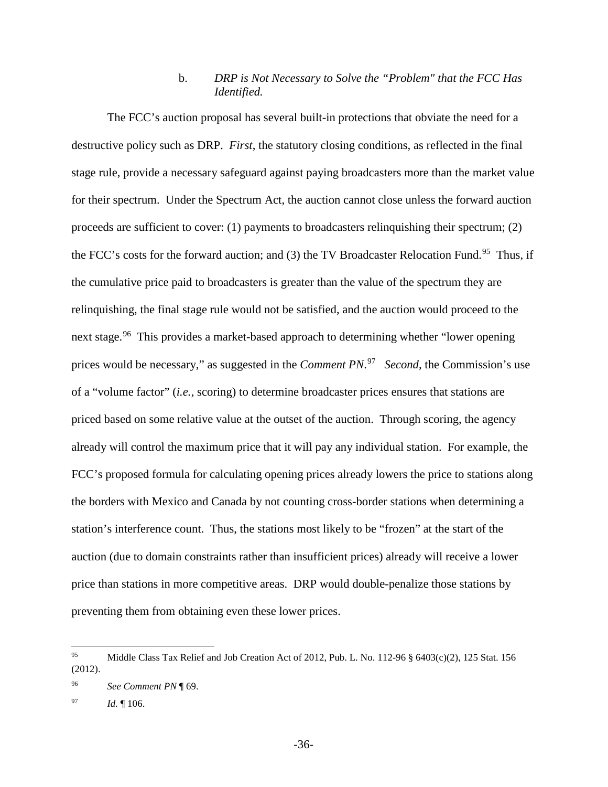## b. *DRP is Not Necessary to Solve the "Problem" that the FCC Has Identified.*

The FCC's auction proposal has several built-in protections that obviate the need for a destructive policy such as DRP. *First*, the statutory closing conditions, as reflected in the final stage rule, provide a necessary safeguard against paying broadcasters more than the market value for their spectrum. Under the Spectrum Act, the auction cannot close unless the forward auction proceeds are sufficient to cover: (1) payments to broadcasters relinquishing their spectrum; (2) the FCC's costs for the forward auction; and (3) the TV Broadcaster Relocation Fund.<sup>[95](#page-42-0)</sup> Thus, if the cumulative price paid to broadcasters is greater than the value of the spectrum they are relinquishing, the final stage rule would not be satisfied, and the auction would proceed to the next stage.<sup>[96](#page-42-1)</sup> This provides a market-based approach to determining whether "lower opening" prices would be necessary," as suggested in the *Comment PN*. [97](#page-42-2) *Second,* the Commission's use of a "volume factor" (*i.e.*, scoring) to determine broadcaster prices ensures that stations are priced based on some relative value at the outset of the auction. Through scoring, the agency already will control the maximum price that it will pay any individual station. For example, the FCC's proposed formula for calculating opening prices already lowers the price to stations along the borders with Mexico and Canada by not counting cross-border stations when determining a station's interference count. Thus, the stations most likely to be "frozen" at the start of the auction (due to domain constraints rather than insufficient prices) already will receive a lower price than stations in more competitive areas. DRP would double-penalize those stations by preventing them from obtaining even these lower prices.

<span id="page-42-0"></span>Middle Class Tax Relief and Job Creation Act of 2012, Pub. L. No. 112-96 § 6403(c)(2), 125 Stat. 156 (2012). 95

<span id="page-42-1"></span><sup>96</sup> *See Comment PN* ¶ 69.

<span id="page-42-2"></span><sup>97</sup> *Id.* ¶ 106.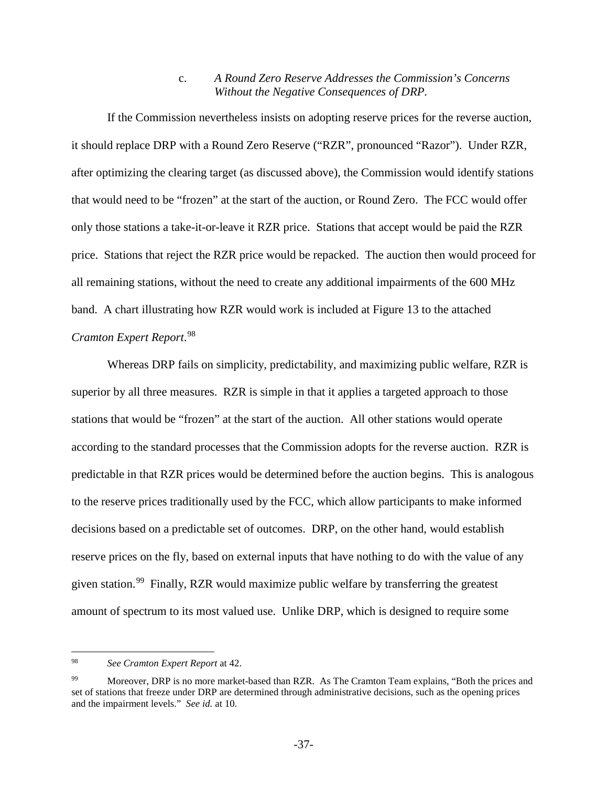### c. *A Round Zero Reserve Addresses the Commission's Concerns Without the Negative Consequences of DRP.*

If the Commission nevertheless insists on adopting reserve prices for the reverse auction, it should replace DRP with a Round Zero Reserve ("RZR", pronounced "Razor"). Under RZR, after optimizing the clearing target (as discussed above), the Commission would identify stations that would need to be "frozen" at the start of the auction, or Round Zero. The FCC would offer only those stations a take-it-or-leave it RZR price. Stations that accept would be paid the RZR price. Stations that reject the RZR price would be repacked. The auction then would proceed for all remaining stations, without the need to create any additional impairments of the 600 MHz band. A chart illustrating how RZR would work is included at Figure 13 to the attached *Cramton Expert Report*. [98](#page-43-0)

Whereas DRP fails on simplicity, predictability, and maximizing public welfare, RZR is superior by all three measures. RZR is simple in that it applies a targeted approach to those stations that would be "frozen" at the start of the auction. All other stations would operate according to the standard processes that the Commission adopts for the reverse auction. RZR is predictable in that RZR prices would be determined before the auction begins. This is analogous to the reserve prices traditionally used by the FCC, which allow participants to make informed decisions based on a predictable set of outcomes. DRP, on the other hand, would establish reserve prices on the fly, based on external inputs that have nothing to do with the value of any given station.<sup>[99](#page-43-1)</sup> Finally, RZR would maximize public welfare by transferring the greatest amount of spectrum to its most valued use. Unlike DRP, which is designed to require some

<span id="page-43-0"></span><sup>98</sup> *See Cramton Expert Report* at 42.  $\overline{a}$ 

<span id="page-43-1"></span><sup>&</sup>lt;sup>99</sup> Moreover, DRP is no more market-based than RZR. As The Cramton Team explains, "Both the prices and set of stations that freeze under DRP are determined through administrative decisions, such as the opening prices and the impairment levels." *See id.* at 10.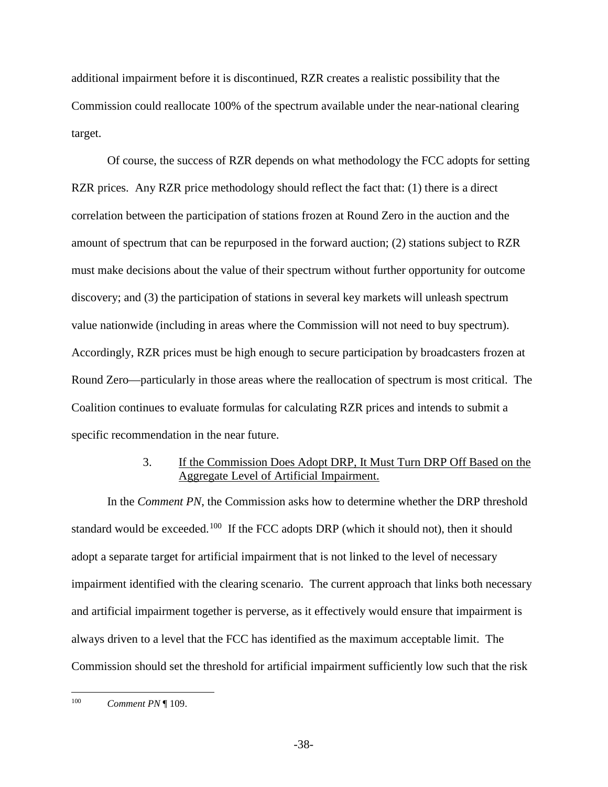additional impairment before it is discontinued, RZR creates a realistic possibility that the Commission could reallocate 100% of the spectrum available under the near-national clearing target.

Of course, the success of RZR depends on what methodology the FCC adopts for setting RZR prices. Any RZR price methodology should reflect the fact that: (1) there is a direct correlation between the participation of stations frozen at Round Zero in the auction and the amount of spectrum that can be repurposed in the forward auction; (2) stations subject to RZR must make decisions about the value of their spectrum without further opportunity for outcome discovery; and (3) the participation of stations in several key markets will unleash spectrum value nationwide (including in areas where the Commission will not need to buy spectrum). Accordingly, RZR prices must be high enough to secure participation by broadcasters frozen at Round Zero—particularly in those areas where the reallocation of spectrum is most critical. The Coalition continues to evaluate formulas for calculating RZR prices and intends to submit a specific recommendation in the near future.

## 3. If the Commission Does Adopt DRP, It Must Turn DRP Off Based on the Aggregate Level of Artificial Impairment.

<span id="page-44-0"></span>In the *Comment PN*, the Commission asks how to determine whether the DRP threshold standard would be exceeded.<sup>[100](#page-44-1)</sup> If the FCC adopts DRP (which it should not), then it should adopt a separate target for artificial impairment that is not linked to the level of necessary impairment identified with the clearing scenario. The current approach that links both necessary and artificial impairment together is perverse, as it effectively would ensure that impairment is always driven to a level that the FCC has identified as the maximum acceptable limit. The Commission should set the threshold for artificial impairment sufficiently low such that the risk

<span id="page-44-1"></span>*Comment PN* ¶ 109. 100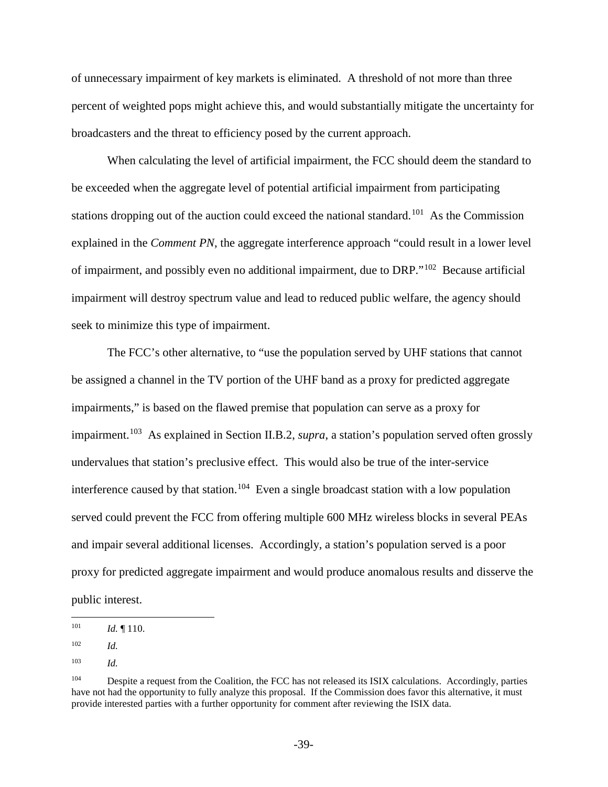of unnecessary impairment of key markets is eliminated. A threshold of not more than three percent of weighted pops might achieve this, and would substantially mitigate the uncertainty for broadcasters and the threat to efficiency posed by the current approach.

When calculating the level of artificial impairment, the FCC should deem the standard to be exceeded when the aggregate level of potential artificial impairment from participating stations dropping out of the auction could exceed the national standard.<sup>[101](#page-45-0)</sup> As the Commission explained in the *Comment PN*, the aggregate interference approach "could result in a lower level of impairment, and possibly even no additional impairment, due to DRP."[102](#page-45-1) Because artificial impairment will destroy spectrum value and lead to reduced public welfare, the agency should seek to minimize this type of impairment.

The FCC's other alternative, to "use the population served by UHF stations that cannot be assigned a channel in the TV portion of the UHF band as a proxy for predicted aggregate impairments," is based on the flawed premise that population can serve as a proxy for impairment.<sup>[103](#page-45-2)</sup> As explained in Section II.B.2, *supra*, a station's population served often grossly undervalues that station's preclusive effect. This would also be true of the inter-service interference caused by that station.<sup>104</sup> Even a single broadcast station with a low population served could prevent the FCC from offering multiple 600 MHz wireless blocks in several PEAs and impair several additional licenses. Accordingly, a station's population served is a poor proxy for predicted aggregate impairment and would produce anomalous results and disserve the public interest.

<span id="page-45-0"></span>*Id.* 110. 101

<span id="page-45-1"></span><sup>102</sup> *Id.*

<span id="page-45-2"></span><sup>103</sup> *Id.*

<span id="page-45-3"></span><sup>&</sup>lt;sup>104</sup> Despite a request from the Coalition, the FCC has not released its ISIX calculations. Accordingly, parties have not had the opportunity to fully analyze this proposal. If the Commission does favor this alternative, it must provide interested parties with a further opportunity for comment after reviewing the ISIX data.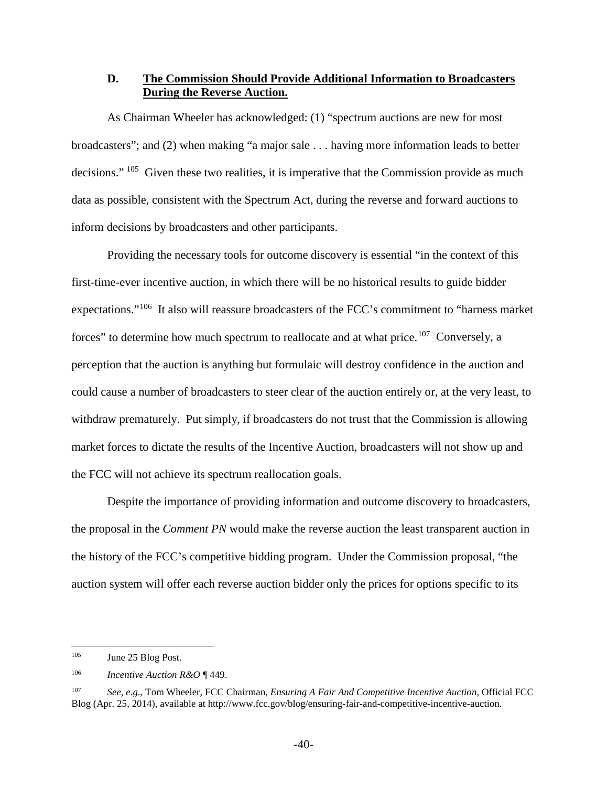### <span id="page-46-0"></span>**D. The Commission Should Provide Additional Information to Broadcasters During the Reverse Auction.**

As Chairman Wheeler has acknowledged: (1) "spectrum auctions are new for most broadcasters"; and (2) when making "a major sale . . . having more information leads to better decisions." <sup>105</sup> Given these two realities, it is imperative that the Commission provide as much data as possible, consistent with the Spectrum Act, during the reverse and forward auctions to inform decisions by broadcasters and other participants.

Providing the necessary tools for outcome discovery is essential "in the context of this first-time-ever incentive auction, in which there will be no historical results to guide bidder expectations."[106](#page-46-2) It also will reassure broadcasters of the FCC's commitment to "harness market forces" to determine how much spectrum to reallocate and at what price.<sup>[107](#page-46-3)</sup> Conversely, a perception that the auction is anything but formulaic will destroy confidence in the auction and could cause a number of broadcasters to steer clear of the auction entirely or, at the very least, to withdraw prematurely. Put simply, if broadcasters do not trust that the Commission is allowing market forces to dictate the results of the Incentive Auction, broadcasters will not show up and the FCC will not achieve its spectrum reallocation goals.

Despite the importance of providing information and outcome discovery to broadcasters, the proposal in the *Comment PN* would make the reverse auction the least transparent auction in the history of the FCC's competitive bidding program. Under the Commission proposal, "the auction system will offer each reverse auction bidder only the prices for options specific to its

<span id="page-46-1"></span>June 25 Blog Post. 105

<span id="page-46-2"></span><sup>106</sup> *Incentive Auction R&O* ¶ 449.

<span id="page-46-3"></span><sup>107</sup> *See, e.g.*, Tom Wheeler, FCC Chairman, *Ensuring A Fair And Competitive Incentive Auction*, Official FCC Blog (Apr. 25, 2014), available at http://www.fcc.gov/blog/ensuring-fair-and-competitive-incentive-auction.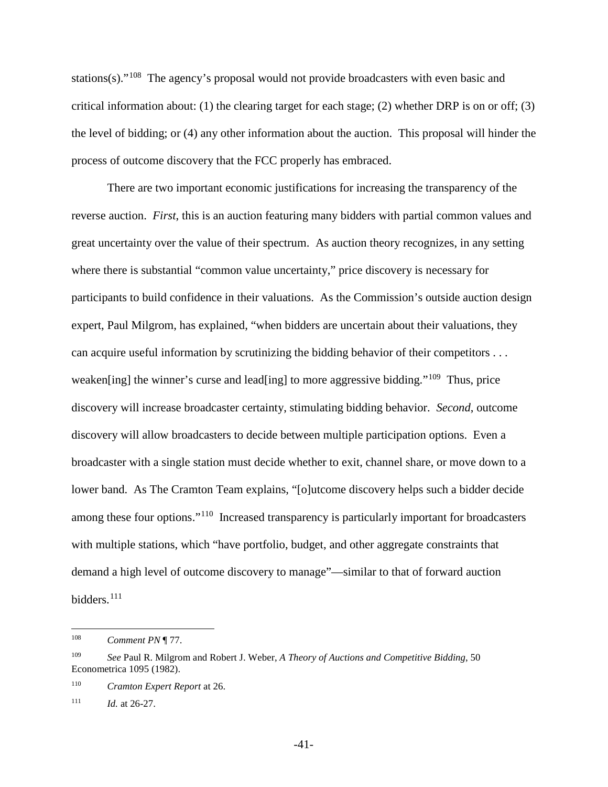stations(s)."<sup>[108](#page-47-0)</sup> The agency's proposal would not provide broadcasters with even basic and critical information about: (1) the clearing target for each stage; (2) whether DRP is on or off; (3) the level of bidding; or (4) any other information about the auction. This proposal will hinder the process of outcome discovery that the FCC properly has embraced.

There are two important economic justifications for increasing the transparency of the reverse auction. *First*, this is an auction featuring many bidders with partial common values and great uncertainty over the value of their spectrum. As auction theory recognizes, in any setting where there is substantial "common value uncertainty," price discovery is necessary for participants to build confidence in their valuations. As the Commission's outside auction design expert, Paul Milgrom, has explained, "when bidders are uncertain about their valuations, they can acquire useful information by scrutinizing the bidding behavior of their competitors . . . weaken[ing] the winner's curse and lead[ing] to more aggressive bidding."<sup>[109](#page-47-1)</sup> Thus, price discovery will increase broadcaster certainty, stimulating bidding behavior. *Second*, outcome discovery will allow broadcasters to decide between multiple participation options. Even a broadcaster with a single station must decide whether to exit, channel share, or move down to a lower band. As The Cramton Team explains, "[o]utcome discovery helps such a bidder decide among these four options."<sup>110</sup> Increased transparency is particularly important for broadcasters with multiple stations, which "have portfolio, budget, and other aggregate constraints that demand a high level of outcome discovery to manage"—similar to that of forward auction bidders.<sup>[111](#page-47-3)</sup>

<span id="page-47-0"></span>**Comment PN** ¶ 77.  $108\,$ 

<span id="page-47-1"></span><sup>109</sup> *See* Paul R. Milgrom and Robert J. Weber, *A Theory of Auctions and Competitive Bidding*, 50 Econometrica 1095 (1982).

<span id="page-47-2"></span><sup>110</sup> *Cramton Expert Report* at 26.

<span id="page-47-3"></span><sup>111</sup> *Id.* at 26-27.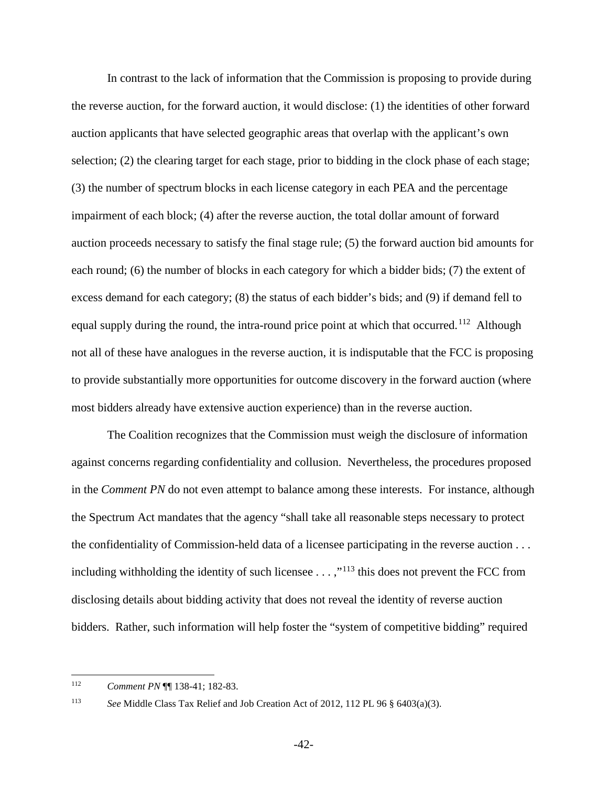In contrast to the lack of information that the Commission is proposing to provide during the reverse auction, for the forward auction, it would disclose: (1) the identities of other forward auction applicants that have selected geographic areas that overlap with the applicant's own selection; (2) the clearing target for each stage, prior to bidding in the clock phase of each stage; (3) the number of spectrum blocks in each license category in each PEA and the percentage impairment of each block; (4) after the reverse auction, the total dollar amount of forward auction proceeds necessary to satisfy the final stage rule; (5) the forward auction bid amounts for each round; (6) the number of blocks in each category for which a bidder bids; (7) the extent of excess demand for each category; (8) the status of each bidder's bids; and (9) if demand fell to equal supply during the round, the intra-round price point at which that occurred.<sup>[112](#page-48-0)</sup> Although not all of these have analogues in the reverse auction, it is indisputable that the FCC is proposing to provide substantially more opportunities for outcome discovery in the forward auction (where most bidders already have extensive auction experience) than in the reverse auction.

The Coalition recognizes that the Commission must weigh the disclosure of information against concerns regarding confidentiality and collusion. Nevertheless, the procedures proposed in the *Comment PN* do not even attempt to balance among these interests. For instance, although the Spectrum Act mandates that the agency "shall take all reasonable steps necessary to protect the confidentiality of Commission-held data of a licensee participating in the reverse auction . . . including withholding the identity of such licensee  $\dots$ ,"<sup>[113](#page-48-1)</sup> this does not prevent the FCC from disclosing details about bidding activity that does not reveal the identity of reverse auction bidders. Rather, such information will help foster the "system of competitive bidding" required

<span id="page-48-1"></span>

<span id="page-48-0"></span><sup>112</sup> *Comment PN* ¶¶ 138-41; 182-83. 112

<sup>113</sup> *See* Middle Class Tax Relief and Job Creation Act of 2012, 112 PL 96 § 6403(a)(3).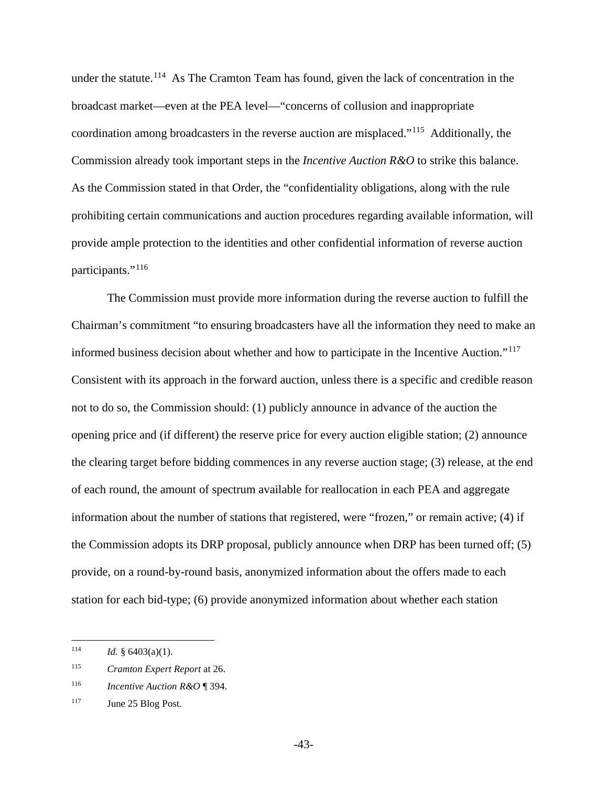under the statute.<sup>[114](#page-49-0)</sup> As The Cramton Team has found, given the lack of concentration in the broadcast market—even at the PEA level—"concerns of collusion and inappropriate coordination among broadcasters in the reverse auction are misplaced."[115](#page-49-1) Additionally, the Commission already took important steps in the *Incentive Auction R&O* to strike this balance. As the Commission stated in that Order, the "confidentiality obligations, along with the rule prohibiting certain communications and auction procedures regarding available information, will provide ample protection to the identities and other confidential information of reverse auction participants."[116](#page-49-2)

The Commission must provide more information during the reverse auction to fulfill the Chairman's commitment "to ensuring broadcasters have all the information they need to make an informed business decision about whether and how to participate in the Incentive Auction."[117](#page-49-3) Consistent with its approach in the forward auction, unless there is a specific and credible reason not to do so, the Commission should: (1) publicly announce in advance of the auction the opening price and (if different) the reserve price for every auction eligible station; (2) announce the clearing target before bidding commences in any reverse auction stage; (3) release, at the end of each round, the amount of spectrum available for reallocation in each PEA and aggregate information about the number of stations that registered, were "frozen," or remain active; (4) if the Commission adopts its DRP proposal, publicly announce when DRP has been turned off; (5) provide, on a round-by-round basis, anonymized information about the offers made to each station for each bid-type; (6) provide anonymized information about whether each station

<span id="page-49-0"></span>*Id.* § 6403(a)(1). 114

<span id="page-49-1"></span><sup>115</sup> *Cramton Expert Report* at 26.

<span id="page-49-2"></span><sup>116</sup> *Incentive Auction R&O* ¶ 394.

<span id="page-49-3"></span><sup>&</sup>lt;sup>117</sup> June 25 Blog Post.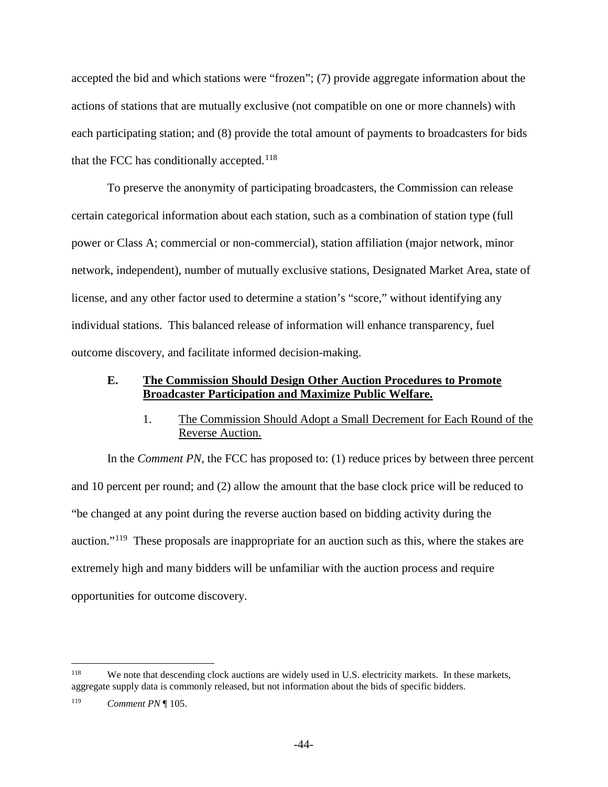accepted the bid and which stations were "frozen"; (7) provide aggregate information about the actions of stations that are mutually exclusive (not compatible on one or more channels) with each participating station; and (8) provide the total amount of payments to broadcasters for bids that the FCC has conditionally accepted. $118$ 

To preserve the anonymity of participating broadcasters, the Commission can release certain categorical information about each station, such as a combination of station type (full power or Class A; commercial or non-commercial), station affiliation (major network, minor network, independent), number of mutually exclusive stations, Designated Market Area, state of license, and any other factor used to determine a station's "score," without identifying any individual stations. This balanced release of information will enhance transparency, fuel outcome discovery, and facilitate informed decision-making.

### <span id="page-50-0"></span>**E. The Commission Should Design Other Auction Procedures to Promote Broadcaster Participation and Maximize Public Welfare.**

## 1. The Commission Should Adopt a Small Decrement for Each Round of the Reverse Auction.

<span id="page-50-1"></span>In the *Comment PN*, the FCC has proposed to: (1) reduce prices by between three percent and 10 percent per round; and (2) allow the amount that the base clock price will be reduced to "be changed at any point during the reverse auction based on bidding activity during the auction."[119](#page-50-3) These proposals are inappropriate for an auction such as this, where the stakes are extremely high and many bidders will be unfamiliar with the auction process and require opportunities for outcome discovery.

<span id="page-50-2"></span>We note that descending clock auctions are widely used in U.S. electricity markets. In these markets, aggregate supply data is commonly released, but not information about the bids of specific bidders. 118

<span id="page-50-3"></span><sup>119</sup> *Comment PN* ¶ 105.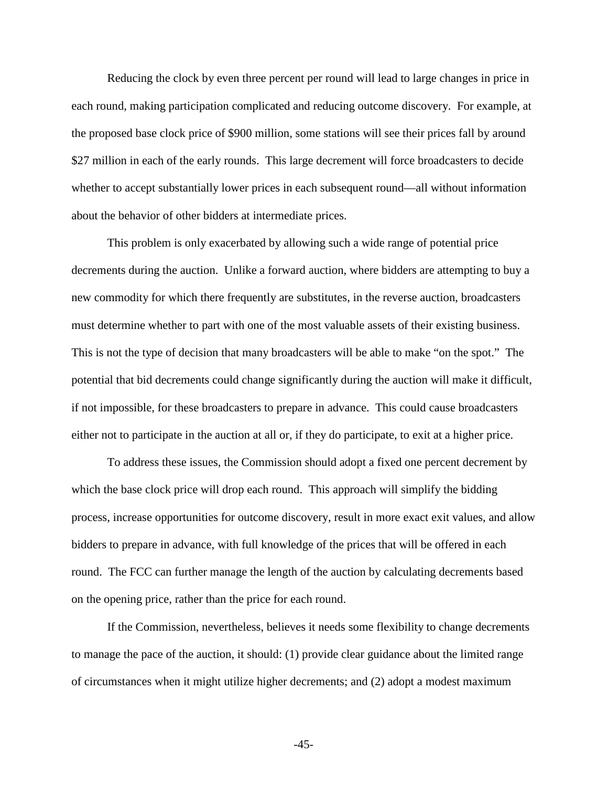Reducing the clock by even three percent per round will lead to large changes in price in each round, making participation complicated and reducing outcome discovery. For example, at the proposed base clock price of \$900 million, some stations will see their prices fall by around \$27 million in each of the early rounds. This large decrement will force broadcasters to decide whether to accept substantially lower prices in each subsequent round—all without information about the behavior of other bidders at intermediate prices.

This problem is only exacerbated by allowing such a wide range of potential price decrements during the auction. Unlike a forward auction, where bidders are attempting to buy a new commodity for which there frequently are substitutes, in the reverse auction, broadcasters must determine whether to part with one of the most valuable assets of their existing business. This is not the type of decision that many broadcasters will be able to make "on the spot." The potential that bid decrements could change significantly during the auction will make it difficult, if not impossible, for these broadcasters to prepare in advance. This could cause broadcasters either not to participate in the auction at all or, if they do participate, to exit at a higher price.

To address these issues, the Commission should adopt a fixed one percent decrement by which the base clock price will drop each round. This approach will simplify the bidding process, increase opportunities for outcome discovery, result in more exact exit values, and allow bidders to prepare in advance, with full knowledge of the prices that will be offered in each round. The FCC can further manage the length of the auction by calculating decrements based on the opening price, rather than the price for each round.

If the Commission, nevertheless, believes it needs some flexibility to change decrements to manage the pace of the auction, it should: (1) provide clear guidance about the limited range of circumstances when it might utilize higher decrements; and (2) adopt a modest maximum

-45-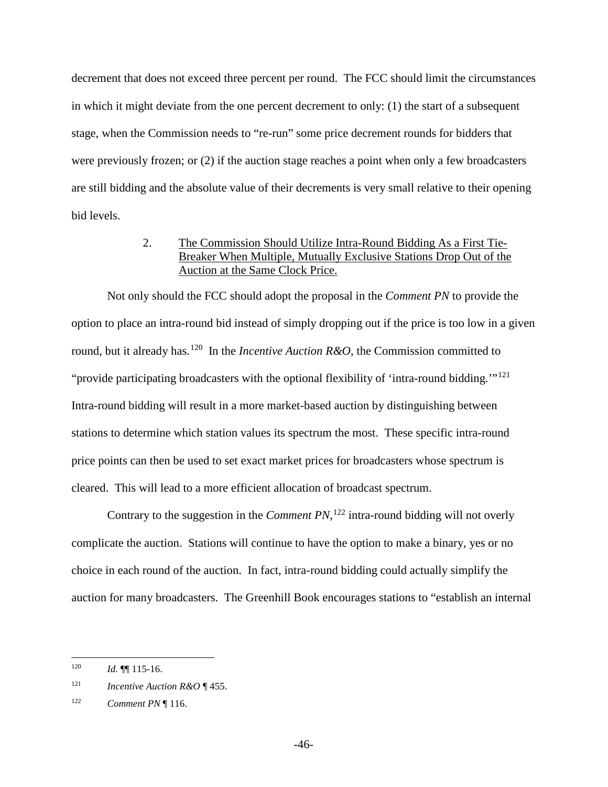decrement that does not exceed three percent per round. The FCC should limit the circumstances in which it might deviate from the one percent decrement to only: (1) the start of a subsequent stage, when the Commission needs to "re-run" some price decrement rounds for bidders that were previously frozen; or (2) if the auction stage reaches a point when only a few broadcasters are still bidding and the absolute value of their decrements is very small relative to their opening bid levels.

## 2. The Commission Should Utilize Intra-Round Bidding As a First Tie-Breaker When Multiple, Mutually Exclusive Stations Drop Out of the Auction at the Same Clock Price.

<span id="page-52-0"></span>Not only should the FCC should adopt the proposal in the *Comment PN* to provide the option to place an intra-round bid instead of simply dropping out if the price is too low in a given round, but it already has.<sup>[120](#page-52-1)</sup> In the *Incentive Auction R&O*, the Commission committed to "provide participating broadcasters with the optional flexibility of 'intra-round bidding."<sup>[121](#page-52-2)</sup> Intra-round bidding will result in a more market-based auction by distinguishing between stations to determine which station values its spectrum the most. These specific intra-round price points can then be used to set exact market prices for broadcasters whose spectrum is cleared. This will lead to a more efficient allocation of broadcast spectrum.

Contrary to the suggestion in the *Comment PN*,  $^{122}$  $^{122}$  $^{122}$  intra-round bidding will not overly complicate the auction. Stations will continue to have the option to make a binary, yes or no choice in each round of the auction. In fact, intra-round bidding could actually simplify the auction for many broadcasters. The Greenhill Book encourages stations to "establish an internal

<span id="page-52-1"></span>*Id.* **¶** 115-16. 120

<span id="page-52-2"></span><sup>121</sup> *Incentive Auction R&O* ¶ 455.

<span id="page-52-3"></span><sup>122</sup> *Comment PN* ¶ 116.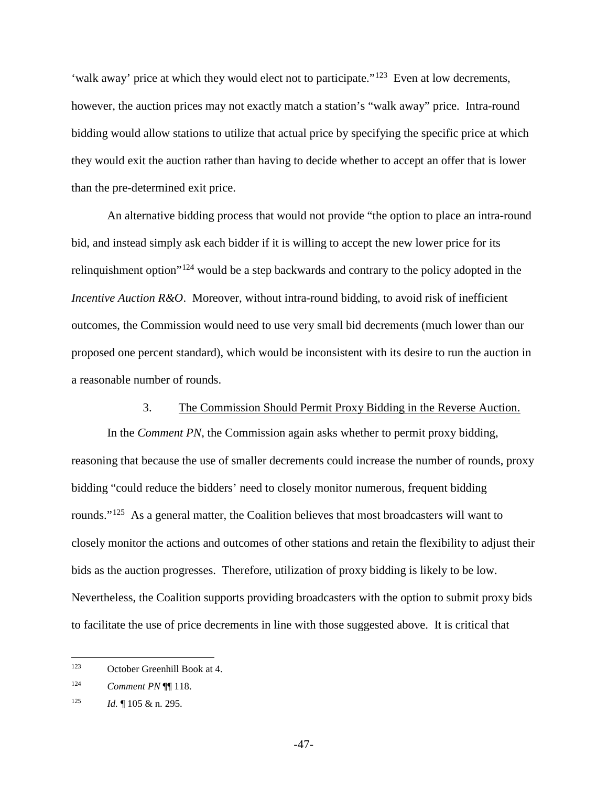'walk away' price at which they would elect not to participate."<sup>[123](#page-53-1)</sup> Even at low decrements, however, the auction prices may not exactly match a station's "walk away" price. Intra-round bidding would allow stations to utilize that actual price by specifying the specific price at which they would exit the auction rather than having to decide whether to accept an offer that is lower than the pre-determined exit price.

An alternative bidding process that would not provide "the option to place an intra-round bid, and instead simply ask each bidder if it is willing to accept the new lower price for its relinquishment option"[124](#page-53-2) would be a step backwards and contrary to the policy adopted in the *Incentive Auction R&O.* Moreover, without intra-round bidding, to avoid risk of inefficient outcomes, the Commission would need to use very small bid decrements (much lower than our proposed one percent standard), which would be inconsistent with its desire to run the auction in a reasonable number of rounds.

## 3. The Commission Should Permit Proxy Bidding in the Reverse Auction.

<span id="page-53-0"></span>In the *Comment PN*, the Commission again asks whether to permit proxy bidding, reasoning that because the use of smaller decrements could increase the number of rounds, proxy bidding "could reduce the bidders' need to closely monitor numerous, frequent bidding rounds."<sup>125</sup> As a general matter, the Coalition believes that most broadcasters will want to closely monitor the actions and outcomes of other stations and retain the flexibility to adjust their bids as the auction progresses. Therefore, utilization of proxy bidding is likely to be low. Nevertheless, the Coalition supports providing broadcasters with the option to submit proxy bids to facilitate the use of price decrements in line with those suggested above. It is critical that

<span id="page-53-1"></span>October Greenhill Book at 4. 123

<span id="page-53-2"></span><sup>124</sup> *Comment PN* ¶¶ 118.

<span id="page-53-3"></span><sup>125</sup> *Id.*  $\lll$  105 & n. 295.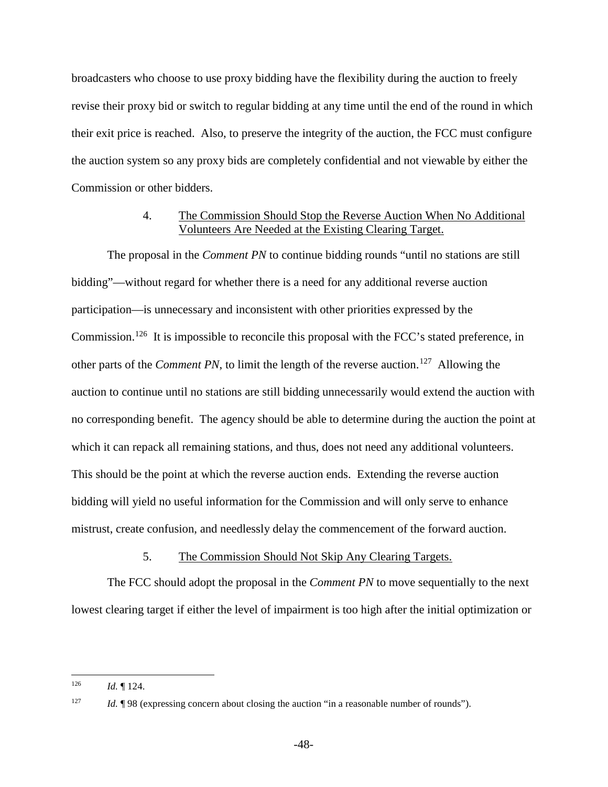broadcasters who choose to use proxy bidding have the flexibility during the auction to freely revise their proxy bid or switch to regular bidding at any time until the end of the round in which their exit price is reached. Also, to preserve the integrity of the auction, the FCC must configure the auction system so any proxy bids are completely confidential and not viewable by either the Commission or other bidders.

## 4. The Commission Should Stop the Reverse Auction When No Additional Volunteers Are Needed at the Existing Clearing Target.

<span id="page-54-0"></span>The proposal in the *Comment PN* to continue bidding rounds "until no stations are still bidding"—without regard for whether there is a need for any additional reverse auction participation—is unnecessary and inconsistent with other priorities expressed by the Commission.<sup>[126](#page-54-2)</sup> It is impossible to reconcile this proposal with the FCC's stated preference, in other parts of the *Comment PN*, to limit the length of the reverse auction.<sup>[127](#page-54-3)</sup> Allowing the auction to continue until no stations are still bidding unnecessarily would extend the auction with no corresponding benefit. The agency should be able to determine during the auction the point at which it can repack all remaining stations, and thus, does not need any additional volunteers. This should be the point at which the reverse auction ends. Extending the reverse auction bidding will yield no useful information for the Commission and will only serve to enhance mistrust, create confusion, and needlessly delay the commencement of the forward auction.

5. The Commission Should Not Skip Any Clearing Targets.

<span id="page-54-1"></span>The FCC should adopt the proposal in the *Comment PN* to move sequentially to the next lowest clearing target if either the level of impairment is too high after the initial optimization or

 $\overline{a}$ 

<span id="page-54-2"></span> $126$  *Id.* 124.

<span id="page-54-3"></span><sup>&</sup>lt;sup>127</sup> *Id.* ¶ 98 (expressing concern about closing the auction "in a reasonable number of rounds").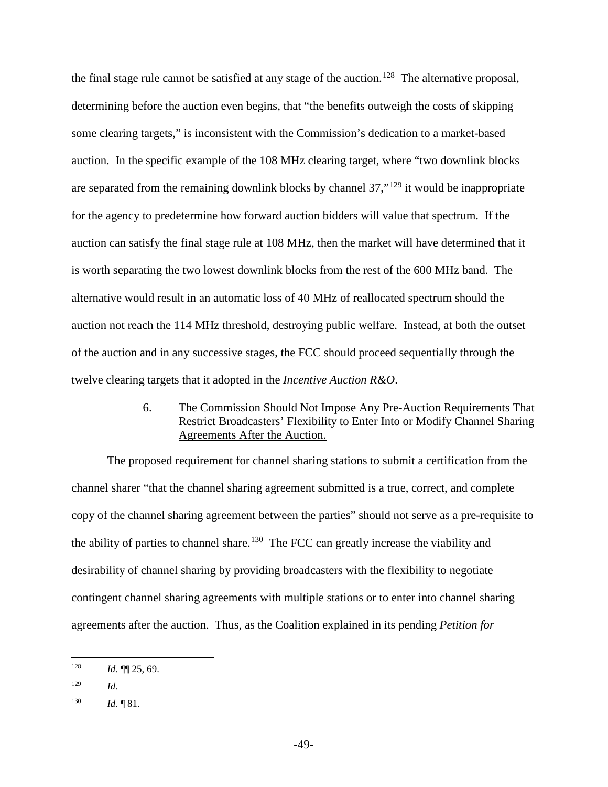the final stage rule cannot be satisfied at any stage of the auction.<sup>128</sup> The alternative proposal, determining before the auction even begins, that "the benefits outweigh the costs of skipping some clearing targets," is inconsistent with the Commission's dedication to a market-based auction. In the specific example of the 108 MHz clearing target, where "two downlink blocks are separated from the remaining downlink blocks by channel 37,"[129](#page-55-2) it would be inappropriate for the agency to predetermine how forward auction bidders will value that spectrum. If the auction can satisfy the final stage rule at 108 MHz, then the market will have determined that it is worth separating the two lowest downlink blocks from the rest of the 600 MHz band. The alternative would result in an automatic loss of 40 MHz of reallocated spectrum should the auction not reach the 114 MHz threshold, destroying public welfare. Instead, at both the outset of the auction and in any successive stages, the FCC should proceed sequentially through the twelve clearing targets that it adopted in the *Incentive Auction R&O*.

## 6. The Commission Should Not Impose Any Pre-Auction Requirements That Restrict Broadcasters' Flexibility to Enter Into or Modify Channel Sharing Agreements After the Auction.

<span id="page-55-0"></span>The proposed requirement for channel sharing stations to submit a certification from the channel sharer "that the channel sharing agreement submitted is a true, correct, and complete copy of the channel sharing agreement between the parties" should not serve as a pre-requisite to the ability of parties to channel share.<sup>[130](#page-55-3)</sup> The FCC can greatly increase the viability and desirability of channel sharing by providing broadcasters with the flexibility to negotiate contingent channel sharing agreements with multiple stations or to enter into channel sharing agreements after the auction. Thus, as the Coalition explained in its pending *Petition for* 

<span id="page-55-1"></span>*Id.* **¶** 25, 69. 128

<span id="page-55-2"></span><sup>129</sup> *Id.*

<span id="page-55-3"></span><sup>130</sup> *Id.*  $\P 81$ .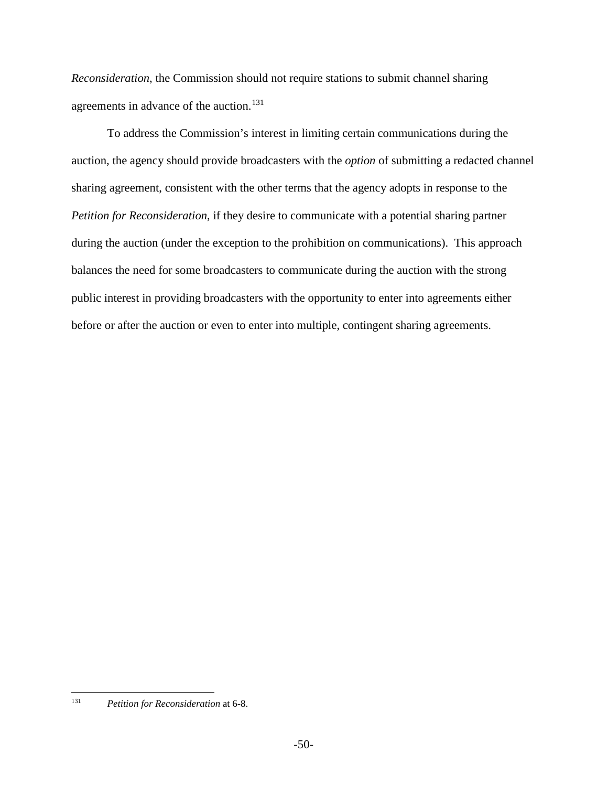*Reconsideration*, the Commission should not require stations to submit channel sharing agreements in advance of the auction.<sup>[131](#page-56-0)</sup>

To address the Commission's interest in limiting certain communications during the auction, the agency should provide broadcasters with the *option* of submitting a redacted channel sharing agreement, consistent with the other terms that the agency adopts in response to the *Petition for Reconsideration*, if they desire to communicate with a potential sharing partner during the auction (under the exception to the prohibition on communications). This approach balances the need for some broadcasters to communicate during the auction with the strong public interest in providing broadcasters with the opportunity to enter into agreements either before or after the auction or even to enter into multiple, contingent sharing agreements.

<span id="page-56-0"></span><sup>131</sup> *Petition for Reconsideration* at 6-8. 131